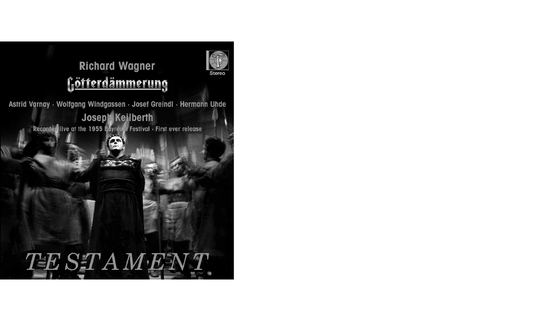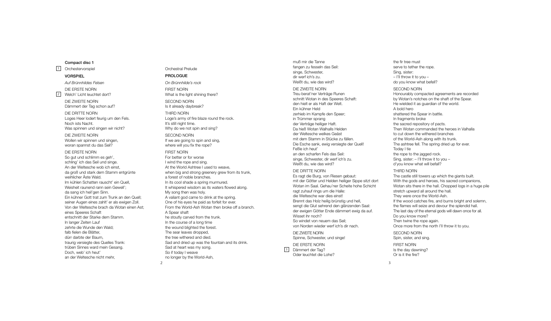## Compact disc 1

1 Orchestervorspiel

## VORSPIEL

*Auf Brünnhildes Felsen* DIE ERSTE NORN

2 Welch' Licht leuchtet dort?

DIE ZWEITE NORN Dämmert der Tag schon auf? DIE DRITTE NORN

Loges Heer lodert feurig um den Fels. Noch ists Nacht. Was spinnen und singen wir nicht?

DIE ZWEITE NORN Wollen wir spinnen und singen. woran spannst du das Seil?

#### DIE ERSTE NORN

So gut und schlimm es geh', schling' ich das Seil und singe. An der Weltesche wob ich einst, da groß und stark dem Stamm entgrünte weihlicher Äste Wald. Im kühlen Schatten rauscht' ein Quell, Weisheit raunend rann sein Gewell'; da sang ich heil'gen Sinn. Ein kühner Gott trat zum Trunk an den Quell; seiner Augen eines zahlt' er als ewigen Zoll. Von der Weltesche brach da Wotan einen Ast; eines Speeres Schaft entschnitt der Starke dem Stamm. In langer Zeiten Lauf zehrte die Wunde den Wald; falb fielen die Blätter, dürr darbte der Baum, traurig versiegte des Quelles Trank: trüben Sinnes ward mein Gesang. Doch, web' ich heut' an der Weltesche nicht mehr

## Orchestral Prelude PROLOGUE *On Brünnhilde's rock* FIRST NORN What is the light shining there? SECOND NORN Is it already daybreak? THIRD NORN Loge's army of fire blaze round the rock. It's still night time. Why do we not spin and sing?

SECOND NORN If we are going to spin and sing, where will you fix the rope?

#### FIRST NORN

 $\overline{2}$ 

For better or for worse I wind the rope and sing. At the World Ashtree I used to weave, when big and strong greenery grew from its trunk, a forest of noble branches. In its cool shade a spring murmured. It whispered wisdom as its waters flowed along. My song then was holy. A valiant god came to drink at the spring. One of his eyes he paid as forfeit for ever. From the World-Ash Wotan then broke off a branch. A Spear shaft he stoutly carved from the trunk. In the course of a long time the wound blighted the forest. The sear leaves dropped, the tree withered and died. Sad and dried up was the fountain and its drink. Sad at heart was my song. So if today I weave no longer by the World-Ash,

muß mir die Tanne fangen zu fesseln das Seil: singe, Schwester, dir werf ich's zu. Weißt du, wie das wird?

#### DIE ZWEITE NORN

Treu berat'ner Verträge Runen schnitt Wotan in des Speeres Schaft: den hielt er als Haft der Welt. Ein kühner Held zerhieb im Kampfe den Speer; in Trümmer sprang der Verträge heiliger Haft. Da hieß Wotan Walhalls Helden der Weltesche welkes Geäst mit dem Stamm in Stücke zu fällen. Die Esche sank, ewig versiegte der Quell! Feßle ich heut' an den scharfen Fels das Seil: singe, Schwester, dir werf ich's zu. Weißt du, wie das wird?

#### DIE DRITTE NORN

Es ragt die Burg, von Riesen gebaut: mit der Götter und Helden heiliger Sippe sitzt dort Wotan im Saal. Gehau'ner Scheite hohe Schicht ragt zuhauf rings um die Halle: die Weltesche war dies einst! Brennt das Holz heilig brünstig und hell, sengt die Glut sehrend den glänzenden Saal: der ewigen Götter Ende dämmert ewig da auf. Wisset ihr noch? So windet von neuem das Seil; von Norden wieder werf ich's dir nach.

DIE ZWEITE NORN Spinne, Schwester, und singe!

DIE ERSTE NORN 3<sup>3</sup> Dämmert der Tag? Oder leuchtet die Lohe? the fir tree must serve to tether the rope. Sing, sister: – I'll throw it to you – do you know what befell?

#### SECOND NORN

Honourably compacted agreements are recorded by Wotan's notches on the shaft of the Spear. He wielded it as guardian of the world. A bold hero shattered the Spear in battle. In fragments broke the sacred repository of pacts. Then Wotan commanded the heroes in Valhalla to cut down the withered branches of the World-Ash along with its trunk. The ashtree fell. The spring dried up for ever. Today I tie the rope to the jagged rock. Sing, sister: – I'll throw it to you – d'you know what will befall?

## THIRD NORN

The castle still towers up which the giants built. With the gods and heroes, his sacred companions Wotan sits there in the hall. Chopped logs in a huge pile stretch upward all around the hall They were once the World-Ash. If the wood catches fire, and burns bright and solemn, the flames will seize and devour the splendid hall. The last day of the eternal gods will dawn once for all. Do you know more? Then twine the rope again. Once more from the north I'll throw it to you.

SECOND NORN Spin, sister, and sing.

FIRST NORN Is the day dawning? Or is it the fire?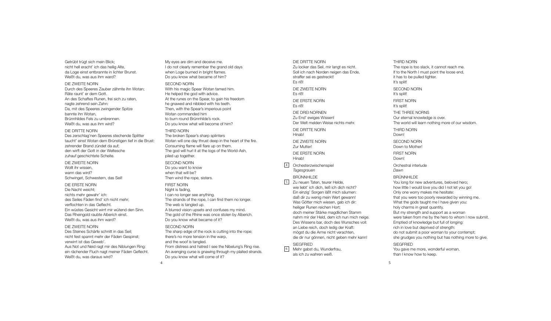Getrübt trügt sich mein Blick; nicht hell eracht' ich das heilig Alte, da Loge einst entbrannte in lichter Brunst. Weißt du, was aus ihm ward?

## DIE ZWEITE NORN

Durch des Speeres Zauber zähmte ihn Wotan; Räte raunt' er dem Gott. An des Schaftes Runen, frei sich zu raten, nagte zehrend sein Zahn: Da, mit des Speeres zwingender Spitze bannte ihn Wotan, Brünnhildes Fels zu umbrennen. Weißt du, was aus ihm wird?

## DIE DRITTE NORN

Des zerschlag'nen Speeres stechende Splitter taucht' einst Wotan dem Brünstigen tief in die Brust: zehrender Brand zündet da auf; den wirft der Gott in der Weltesche zuhauf geschichtete Scheite.

#### DIE ZWEITE NORN

Wollt ihr wissen, wann das wird? Schwinget, Schwestern, das Seil!

#### DIE ERSTE NORN

Die Nacht weicht; nichts mehr gewahr' ich: des Seiles Fäden find' ich nicht mehr; verflochten in das Geflecht. Ein wüstes Gesicht wirrt mir wütend den Sinn. Das Rheingold raubte Alberich einst. Weißt du, was aus ihm ward?

#### DIE ZWEITE NORN

Des Steines Schärfe schnitt in das Seil; nicht fest spannt mehr der Fäden Gespinst; verwirrt ist das Geweb'. Aus Not und Neid ragt mir des Niblungen Ring: ein rächender Fluch nagt meiner Fäden Geflecht. Weißt du, was daraus wird?

My eyes are dim and deceive me. I do not clearly remember the grand old days when Loge burned in bright flames. Do you know what became of him?

#### SECOND NORN

With his magic Spear Wotan tamed him. He helped the god with advice. At the runes on the Spear, to gain his freedom he gnawed and nibbled with his teeth. Then, with the Spear's imperious point Wotan commanded him to burn round Brünnhilde's rock. Do you know what will become of him?

## THIRD NORN

The broken Spear's sharp splinters Wotan will one day thrust deep in the heart of the fire. Consuming flame will flare up on them. The god will hurl it at the logs of the World-Ash, piled up together.

#### SECOND NORN Do you want to know

when that will be? Then wind the rope, sisters.

#### FIRST NORN

4

Night is fading, I can no longer see anything. The strands of the rope, I can find them no longer. The web is tangled up. A blurred vision upsets and confuses my mind. The gold of the Rhine was once stolen by Alberich. Do you know what became of it?

### SECOND NORN

The sharp edge of the rock is cutting into the rope; there's no more tension in the warp, and the woof is tangled. From distress and hatred I see the Nibelung's Ring rise. An avenging curse is gnawing through my plaited strands. Do you know what will come of it?

#### DIE DRITTE NORN

Zu locker das Seil, mir langt es nicht. Soll ich nach Norden neigen das Ende, straffer sei es gestreckt! Es riß! DIE ZWEITE NORN Es riß! DIE ERSTE NORN Es riß! DIE DREI NORNEN Zu End' ewiges Wissen! Der Welt melden Weise nichts mehr. DIE DRITTE NORN **Hinab!** DIE ZWEITE NORN Zur Mutter! DIE ERSTE NORN Hinab! 4 Orchesterzwischenspiel *Tagesgrauen* BRÜNNHILDE 5 Zu neuen Taten, teurer Helde, wie liebt' ich dich, ließ ich dich nicht? Ein einzig' Sorgen läßt mich säumen: daß dir zu wenig mein Wert gewann! Was Götter mich wiesen, gab ich dir: heiliger Runen reichen Hort; doch meiner Stärke magdlichen Stamm nahm mir der Held, dem ich nun mich neige. Des Wissens bar, doch des Wunsches voll: an Liebe reich, doch ledig der Kraft: mögst du die Arme nicht verachten, die dir nur gönnen, nicht geben mehr kann!

## SIEGFRIED

6 Mehr gabst du, Wunderfrau, als ich zu wahren weiß.

You gave me more, wonderful woman, than I know how to keep.

## THIRD NORN

The rope is too slack, it cannot reach me. If to the North I must point the loose end, it has to be pulled tighter. It's split! SECOND NORN It's split! FIRST NORN It's split! THE THREE NORNS Our eternal knowledge is over. The world will learn nothing more of our wisdom. THIRD NORN Down! SECOND NORN Down to Mother! FIRST NORN Down! Orchestral interlude *Dawn* BRÜNNHILDE You long for new adventures, beloved hero; how little I would love you did I not let you go! Only one worry makes me hesitate: that you were too poorly rewarded by winning me. What the gods taught me I have given you: holy charms in great quantity. But my strength and support as a woman were taken from me by the hero to whom I now submit. Emptied of knowledge but full of longing: rich in love but deprived of strength: do not submit a poor woman to your contempt; she grudges you nothing but has nothing more to give. **SIEGERIED**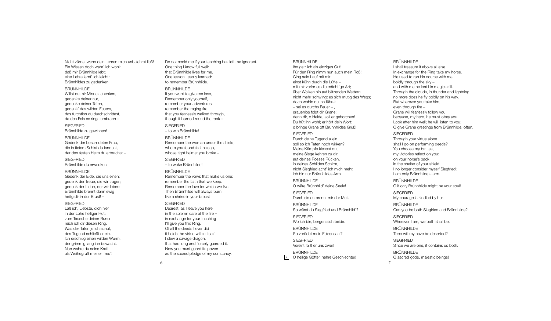Nicht zürne, wenn dein Lehren mich unbelehret ließ! Ein Wissen doch wahr' ich wohl: daß mir Brünnhilde lebt; eine Lehre lernt' ich leicht: Brünnhildes zu gedenken!

#### BRÜNNHILDE

Willst du mir Minne schenken, gedenke deiner nur, gedenke deiner Taten, gedenk' des wilden Feuers, das furchtlos du durchschrittest, da den Fels es rings umbrann –

SIEGFRIED Brünnhilde zu gewinnen!

## BRÜNNHILDE Gedenk der beschildeten Frau, die in tiefem Schlaf du fandest, der den festen Helm du erbrachst –

**SIEGERIED** Brünnhilde du erwecken!

## BRÜNNHILDE

Gedenk der Eide, die uns einen; gedenk der Treue, die wir tragen; gedenk der Liebe, der wir leben: Brünnhilde brennt dann ewig heilig dir in der Brust! –

## **SIEGERIED**

Laß ich, Liebste, dich hier in der Lohe heiliger Hut; zum Tausche deiner Runen reich ich dir diesen Ring. Was der Taten je ich schuf, des Tugend schließt er ein. Ich erschlug einen wilden Wurm, der grimmig lang ihn bewacht. Nun wahre du seine Kraft als Weihegruß meiner Treu'!

Do not scold me if your teaching has left me ignorant. One thing I know full well: that Brünnhilde lives for me. One lesson I easily learned: to remember Brünnhilde.

#### BRÜNNHILDE

If you want to give me love, Remember only yourself, remember your adventures: remember the raging fire that you fearlessly walked through, though it burned round the rock –

SIEGFRIED – to win Brünnhilde!

#### BRÜNNHILDE

Remember the woman under the shield, whom you found fast asleep. whose tight helmet you broke –

**SIEGFRIED** – to wake Brünnhilde!

#### BRÜNNHILDE

Remember the vows that make us one: remember the faith that we keep. Remember the love for which we live. Then Brünnhilde will always burn like a shrine in your breast

#### **SIEGERIED**

Dearest, as I leave you here in the solemn care of the fire – in exchange for your teaching I'll give you this Ring. Of all the deeds I ever did it holds the virtue within itself. I slew a savage dragon, that had long and fiercely guarded it. Now you must guard its power as the sacred pledge of my constancy.

#### BRÜNNHILDE

Ihn geiz ich als einziges Gut! Für den Ring nimm nun auch mein Roß! Ging sein Lauf mit mir einst kühn durch die Lüfte – mit mir verlor es die mächt'ge Art; über Wolken hin auf blitzenden Wettern nicht mehr schwingt es sich mutig des Wegs; doch wohin du ihn führst – sei es durchs Feuer – , grauenlos folgt dir Grane; denn dir, o Helde, soll er gehorchen! Du hüt ihn wohl; er hört dein Wort: o bringe Grane oft Brünnhildes Gruß! **SIEGERIED** Durch deine Tugend allein

soll so ich Taten noch wirken? Meine Kämpfe kiesest du, meine Siege kehren zu dir: auf deines Rosses Rücken, in deines Schildes Schirm, nicht Siegfried acht' ich mich mehr, ich bin nur Brünnhildes Arm. BRÜNNHILDE O wäre Brünnhild' deine Seele! **SIEGERIED** Durch sie entbrennt mir der Mut.

BRÜNNHILDE So wärst du Siegfried und Brünnhild'?

SIEGFRIED Wo ich bin, bergen sich beide.

BRÜNNHILDE So verödet mein Felsensaal? SIEGFRIED Vereint faßt er uns zwei!

BRÜNNHILDE <sup>7</sup> O heilige Götter, hehre Geschlechter!

#### BRÜNNHILDE

I shall treasure it above all else. In exchange for the Ring take my horse. He used to run his course with me boldly through the sky – and with me he lost his magic skill. Through the clouds, in thunder and lightning no more does he fly boldly on his way. But wherever you take him, even through fire – Grane will fearlessly follow you because, my hero, he must obey you. Look after him well; he will listen to you; O give Grane greetings from Brünnhilde, often.

## **SIEGERIED**

Through your virtue alone shall I go on performing deeds? You choose my battles, my victories reflect on you: on your horse's back in the shelter of your shield, I no longer consider myself Siegfried; I am only Brünnhilde's arm. BRÜNNHILDE O if only Brünnhilde might be your soul!

**SIEGERIED** 

My courage is kindled by her.

BRÜNNHILDE Can you be both Siegfried and Brünnhilde?

**SIEGERIED** Wherever I am, we both shall be.

BRÜNNHILDE Then will my cave be deserted? SIEGFRIED

Since we are one, it contains us both.

BRÜNNHILDE O sacred gods, majestic beings!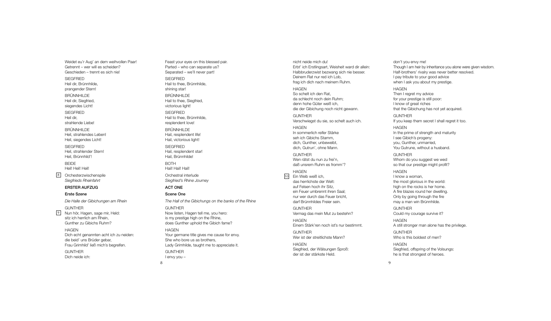Weidet eu'r Aug' an dem weihvollen Paar! i i l l Getrennt – wer will es scheiden? i l l i Geschieden – trennt es sich nie! i i i

SIEGFRIED Heil dir, Brünnhilde, i l i i l

prangender Stern! BRUNNHILDE

Heil dir, Siegfried, i l i i i

siegendes Licht! i i

SIEGFRIED Heil dir, i l i

strahlende Liebe! l i

BRUNNHILDE

Heil, strahlendes Leben! i l l Heil, siegendes Licht! i l i i

SIEGFRIED Heil, strahlender Stern! i l l Heil, Brünnhild'! i l i l

B E I D E Heil! Heil! Heil! i l i l

Orchesterzwischenspile i i l *S ie g frie ds Rh e in fa h rt*  $\frac{8}{9}$ 

i l

#### ERSTER AUFZUG

#### Erste Szene

*D ie Ha lle de r G ib ic h u n g e n a m Rh e in* **GUNTHER** Nun hör, Hagen, sage mir, Held: i l

sitz ich herrlich am Rhein, i i l i i Gunther zu Gibichs Ruhm? i i

H A G E N Dich echt genannten acht ich zu neiden: i i i die beid' uns Brüder gebar, i i Frau Grimhild' ließ mich's begreifen. i i l l i i i

**GUNTHER** Dich neide ich: i i i

Feast your eyes on this blessed pair. i l i Parted – who can separate us? Separated – we'll never part! l l SIEGFRIED Hail to thee, Brünnhilde, i l i l shining star! i i BRUNNHILDE Hail to thee, Siegfried, i l i i victorious light! i i l i SIEGFRIED Hail to thee, Brünnhilde, i l i l resplendent love! l l BRUNNHILDE Hail, resplendent life! i l l l i Hail, victorious light! i l i i l i SIEGFRIED Hail, resplendent star! i l l Hail, Brünnhilde! i l i l B O T H Hail! Hail! Hail! i l i l i l Orchestral interlude l i l *S ie g frie d 's Rh in e J o u rn ey* ACT ONE S c e n e O n e The Hall of the Gibichungs on the banks of the Rhine G U N T H E R Now listen, Hagen tell me, you hero: l i l l i s my prestige high on the Rhine, i i i does Gunther uphold the Gibich fame? l i i

H A G E N Your germane title gives me cause for envy. i l i She who bore us as brothers, Lady Grimhilde, taught me to appreciate it. i i l i i

G U N T H E R l envy you -

8

nicht neide mich du! i i i Erbt' ich Erstlingsart, Weisheit ward dir allein: i l i i i i l l i Halbbruderzwist bezwang sich nie besser. l i i i Deinem Rat nur red ich Lob, i i frag ich dich nach meinem Ruhm. i i i

### H A G E N

So schelt ich den Rat, l i da schlecht noch dein Ruhm; l i denn hohe Güter weiß ich, i i die der Gibichung noch nicht gewann. i i i i **GUNTHER** Verschwiegst du sie, so schelt auch ich. i i l i

H A G E N In sommerlich reifer Stärke l i i seh ich Gibichs Stamm, i i i dich, Gunther, unbeweibt, i i dich, Gutrun', ohne Mann. i

G U N T H E R Wen rätst du nun zu frei'n, i daß unsrem Ruhm es fromm'?

#### H A G E N 10 Ein Weib weiß ich, i i i i das herrlichste der Welt: l i

auf Felsen hoch ihr Sitz, l i i ein Feuer umbrennt ihren Saal; i i l nur wer durch das Feuer bricht, i darf Brünnhildes Freier sein. i l i i

l

G U N T H E R Vermag das mein Mut zu bestehn? i H A G E N

Einem Stärk'ren noch ist's nur bestimmt. i i i

G U N T H E R Wer ist der streitlichste Mann? i i l i

H A G E N Siegfried, der Wälsungen Sproß: i i l der ist der stärkste Held. i l

Half-brothers' rivalry was never better resolved. l i l I pay tribute to your good advice i i when I ask you about my prestige. i H A G E N Then I regret my advice i for your prestige is still poor: i i i l l I know of great riches i that the Gibichung has not yet acquired. i i i G U N T H E R If you keep them secret I shall regret it too. l l i H A G E N In the prime of strength and maturity i i I see Gibich's progeny: i i you, Gunther, unmarried, i

Though I am heir by inheritance you alone were given wisdom.

l

i i

l

don't you envy me!

i i i

You Gutrune, without a husband. i G U N T H E R Whom do you suggest we wed so that our prestige might profit? i i i

H A G E N I know a woman, the most glorious in the world: l i i l high on the rocks is her home. i i A fire blazes round her dwelling. i l l l i Only by going through the fire l i i may a man win Brünnhilde. i i l

G U N T H E R Could my courage survive it? l i i H A G E N

A still stronger man alone has the privilege. i l l l i i l

G U N T H E R Who is this boldest of men? i i l

H A G E N Siegfried, offspring of the Volsungs: i i i l he is that strongest of heroes. i

 $\alpha$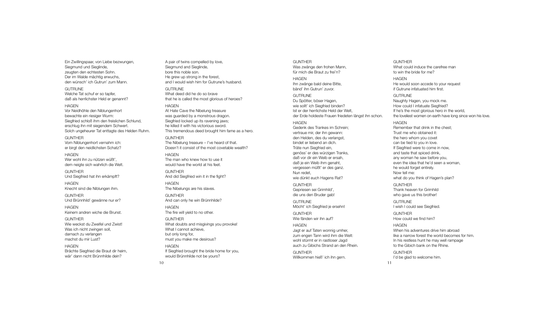Ein Zwillingspaar, von Liebe bezwungen, Siegmund und Sieglinde, zeugten den echtesten Sohn. Der im Walde mächtig erwuchs, den wünsch' ich Gutrun' zum Mann.

**GUTRUNE** Welche Tat schuf er so tapfer, daß als herrlichster Held er genannt?

#### HAGEN

Vor Neidhöhle den Niblungenhort bewachte ein riesiger Wurm: Siegfried schloß ihm den freislichen Schlund, erschlug ihn mit siegendem Schwert. Solch ungeheurer Tat enttagte des Helden Ruhm.

#### **GUNTHER** Vom Niblungenhort vernahm ich:

er birgt den neidlichsten Schatz? **HAGEN** 

Wer wohl ihn zu nützen wüßt', dem neigte sich wahrlich die Welt.

**GUNTHER** Und Siegfried hat ihn erkämpft?

HAGEN Knecht sind die Niblungen ihm.

GUNTHER Und Brünnhild' gewänne nur er?

HAGEN Keinem andren wiche die Brunst.

GUNTHER Wie weckst du Zweifel und Zwist! Was ich nicht zwingen soll, darnach zu verlangen machst du mir Lust?

HAGEN Brächte Siegfried die Braut dir heim, wär' dann nicht Brünnhilde dein?

A pair of twins compelled by love, Siegmund and Sieglinde, bore this noble son. He grew up strong in the forest, and I would wish him for Gutrune's husband.

#### **GUTRUNE**

What deed did he do so brave that he is called the most glorious of heroes? HAGEN At Hate Cave the Nibelung treasure was guarded by a monstrous dragon. Siegfried locked up its ravening jaws; he killed it with his victorious sword. This tremendous deed brought him fame as a hero.

#### **GUNTHER** The Nibelung treasure – I've heard of that.

Doesn't it consist of the most covetable wealth?

**HAGEN** The man who knew how to use it would have the world at his feet.

**GUNTHER** And did Siegfried win it in the fight?

HAGEN The Nibelungs are his slaves. GUNTHER

And can only he win Brünnhilde? HAGEN

The fire will yield to no other.

GUNTHER What doubts and misgivings you provoke! What I cannot achieve. but only long for, must you make me desirous?

**HAGFN** If Siegfried brought the bride home for you, would Brünnhilde not be yours?

## Was zwänge den frohen Mann, für mich die Braut zu frei'n? **HAGEN** Ihn zwänge bald deine Bitte, bänd' ihn Gutrun' zuvor. **GUTRUNE** Du Spötter, böser Hagen, wie sollt' ich Siegfried binden? Ist er der herrlichste Held der Welt, der Erde holdeste Frauen friedeten längst ihn schon. **HAGEN** Gedenk des Trankes im Schrein; vertraue mir, der ihn gewann:

den Helden, des du verlangst, bindet er liebend an dich. Träte nun Siegfried ein, genöss' er des würzigen Tranks, daß vor dir ein Weib er ersah, daß je ein Weib ihm genaht, vergessen müßt' er des ganz. Nun redet, wie dünkt euch Hagens Rat? GUNTHER Gepriesen sei Grimhild',

GUNTHER

die uns den Bruder gab! **GUTRUNE** 

Möcht' ich Siegfried je ersehn!

GUNTHER Wie fänden wir ihn auf?

HAGEN Jagt er auf Taten wonnig umher, zum engen Tann wird ihm die Welt: wohl stürmt er in rastloser Jagd auch zu Gibichs Strand an den Rhein.

GUNTHER Willkommen hieß' ich ihn gern.

## GUNTHER What could induce the carefree man to win the bride for me? HAGEN

He would soon accede to your request if Gutrune infatuated him first.

GUTRUNE Naughty Hagen, you mock me. How could I infatuate Siegfried? If he's the most glorious hero in the world, the loveliest women on earth have long since won his love.

HAGEN Remember that drink in the chest; Trust me who obtained it: the hero whom you covet can be tied to you in love. If Siegfried were to come in now, and taste that spiced drink, any woman he saw before you, even the idea that he'd seen a woman, he would forget entirely. Now tell me: what do you think of Hagen's plan?

GUNTHER Thank heaven for Grimhild who gave us this brother!

**GUTRUNE** I wish I could see Siegfried.

GUNTHER How could we find him?

### **HAGEN** When his adventures drive him abroad like a narrow forest the world becomes for him. In his restless hunt he may well rampage to the Gibich bank on the Rhine.

GUNTHER I'd be glad to welcome him.

11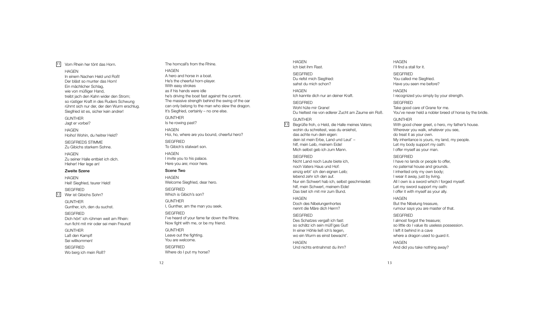## 11 Vom Rhein her tönt das Horn.

## HAGEN

In einem Nachen Held und Roß! Der bläst so munter das Horn! Ein mächlicher Schlag, wie von müßiger Hand, treibt jach den Kahn wider den Strom; so rüstiger Kraft in des Ruders Schwung rühmt sich nur der, der den Wurm erschlug. Siegfried ist es, sicher kein andrer!

GUNTHER Jagt er vorbei?

HAGEN Hoiho! Wohin, du heitrer Held?

SIEGFRIEDS STIMME Zu Gibichs starkem Sohne.

HAGEN Zu seiner Halle entbiet ich dich. Hieher! Hier lege an!

## Zweite Szene

HAGEN Heil! Siegfried, teurer Held! SIEGFRIED

12 Wer ist Gibichs Sohn?

GUNTHER Gunther, ich, den du suchst.

**SIEGFRIED** Dich hört' ich rühmen weit am Rhein: nun ficht mit mir oder sei mein Freund!

GUNTHER Laß den Kampf! Sei willkommen! SIEGFRIED Wo berg ich mein Roß?

## The horncall's from the Rhine.

HAGEN A hero and horse in a boat. He's the cheerful horn-player. With easy strokes as if his hands were idle he's driving the boat fast against the current. The massive strength behind the swing of the oar can only belong to the man who slew the dragon. It's Siegfried, certainly – no one else. GUNTHER Is he rowing past? **HAGEN** Hoi, ho, where are you bound, cheerful hero? **SIEGFRIED** To Gibich's stalwart son. HAGEN I invite you to his palace. Here you are; moor here. Scene Two HAGEN

Welcome Siegfried, dear hero. **SIEGERIED** Which is Gibich's son?

GUNTHER I, Gunther, am the man you seek. **SIEGFRIED** 

I've heard of your fame far down the Rhine. Now fight with me, or be my friend. GUNTHER Leave out the fighting. You are welcome. **SIEGFRIED** Where do I put my horse?

HAGEN Ich biet ihm Rast. **SIEGERIED** Du riefst mich Siegfried: sahst du mich schon? HAGEN Ich kannte dich nur an deiner Kraft. SIEGFRIED Wohl hüte mir Grane!

Du hieltest nie von edlerer Zucht am Zaume ein Roß.

## GUNTHER

13 Begrüße froh, o Held, die Halle meines Vaters; wohin du schreitest, was du ersiehst das achte nun dein eigen: dein ist mein Erbe, Land und Leut' – hilf, mein Leib, meinem Fide! Mich selbst geb ich zum Mann.

#### **SIEGERIED**

Nicht Land noch Leute biete ich, noch Vaters Haus und Hof: einzig erbt' ich den eignen Leib; lebend zehr ich den auf. Nur ein Schwert hab ich, selbst geschmiedet: hilf, mein Schwert, meinem Eide! Das biet ich mit mir zum Bund.

#### HAGEN

Doch des Nibelungenhortes nennt die Märe dich Herrn? SIEGFRIED Des Schatzes vergaß ich fast:

so schätz ich sein müß'ges Gut! In einer Höhle ließ ich's liegen, wo ein Wurm es einst bewacht'.

**HAGEN** Und nichts entnahmst du ihm?

#### HAGEN I'll find a stall for it.

**SIEGERIED** You called me Siegfried. Have you seen me before?

HAGEN I recognized you simply by your strength.

**SIEGERIED** Take good care of Grane for me. You've never held a nobler breed of horse by the bridle.

#### GUNTHER

With good cheer greet, o hero, my father's house. Wherever you walk, whatever you see, do treat it as your own. My inheritance is yours, my land, my people. Let my body support my oath: I offer myself as your man.

#### **SIEGERIED**

I have no lands or people to offer, no paternal house and grounds. I inherited only my own body; I wear it away, just by living. All I own is a sword which I forged myself. Let my sword support my oath: I offer it with myself as your ally.

#### HAGEN

But the Nibelung treasure, rumour says you are master of that. SIEGFRIED

I almost forgot the treasure; so little do I value its useless possession. I left it behind in a cave where a dragon used to guard it.

HAGEN And did you take nothing away?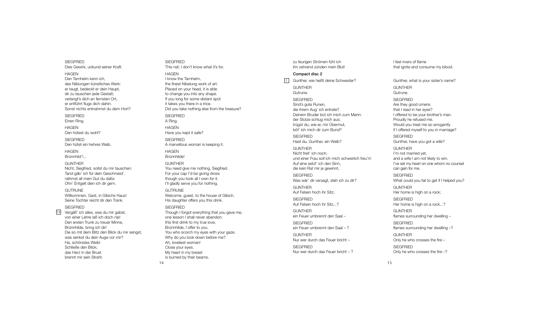SIEGFRIED Dies Gewirk, unkund seiner Kraft. i i i H A G E N Den Tarnhelm kenn ich, l i des Niblungen künstliches Werk: i l l i er taugt, bedeckt er dein Haupt, i dir zu tauschen jede Gestalt; i j l verlangt's dich an fernsten Ort, l i er entführt flugs dich dahin. l i i Sonst nichts entnahmst du dem Hort? i

**SIEGFRIED** 

Einen Ring. i i H A G E N

Den hütest du wohl? l SIEGFRIED Den hütet ein hehres Weib. i i

H A G E N Brünnhild'!... i l

G U N T H E R Nicht, Siegfried, sollst du mir tauschen: i i i l l i Tand gäb' ich für dein Geschmeid', i i i nähmst all mein Gut du dafür. l l i Ohn' Entgelt dien ich dir gern. l i i i

**GUTRUNE** 

Willkommen, Gast, in Gibichs Haus! i l l i i i Seine Tochter reicht dir den Trank. i i i

SIEGFRIED

14 Vergäß' ich alles, was du mir gabst, i l l i von einer Lehre laß ich doch nie! i l i i Den ersten Trunk zu treuer Minne, i Brünnhilde, bring ich dir! i l i i i Die so mit dem Blitz den Blick du mir sengst, i i l i l i i was senkst du dein Auge vor mir? i i Ha, schönstes Weib! i Schließe den Blick; l i l i das Herz in der Brust i brennt mir sein Strahl: i i l

SIEGFRIED This net; I don't know what it's for. i i H A G E N I know the Tarnhelm, l the finest Nibelung work of art. i i l Placed on your head, it is able l i i l to change you into any shape. i If you long for some distant spot l i i t takes you there in a trice. i i Did you take nothing else from the treasure? i i l SIEGFRIED A Ring. i H A G E N Have you kept it safe? i SIEGFRIED A marvellous woman is keeping it. l l i i i H A G E N Brünnhilde! i l G U N T H E R You need give me nothing, Siegfried. i i i i For your cap I'd be giving dross i i though you took all I own for it. l l i I'll gladly serve you for nothing. l l l l i GUTRUNE Welcome, guest, to the house of Gibich. l i i His daughter offers you this drink. i i i SIEGFRIED Though I forgot everything that you gave me, i one lesson I shall never abandon: l l l this first drink to my true love, i i i l Brünnhilde, I offer to you. i l You who scorch my eyes with your gaze. i Why do you look down before me? l Ah, loveliest woman! l l i Close your eyes. l My heart in my breast i

1 4

i

s burned by their beams. i

zu feurigen Strömen fühl ich i l i i hn zehrend zünden mein Blut! i l

#### Compact disc 2

1 Gunther, wie heißt deine Schwester? i i i

G U N T H E R Gutrune. SIEGFRIED Sind's gute Runen, i die ihrem Aug' ich entrate? i i i Deinem Bruder bot ich mich zum Mann: i i i der Stolze schlug mich aus; l l i trügst du, wie er, mir Ubermut, i i böt' ich mich dir zum Bund? i i i SIEGFRIED Hast du, Gunther, ein Weib? i i

G U N T H E R Nicht freit' ich noch, i i i und einer Frau soll ich mich schwerlich freu'n! i l l i i l i Auf eine setzt' ich den Sinn, i i i die kein Rat mir je gewinnt. i i i j i **SIEGFRIED** Was wär' dir versagt, steh ich zu dir? i i i G U N T H E R Auf Felsen hoch ihr Sitz; l i i **SIEGFRIED** Auf Felsen hoch ihr Sitz...? l i i G U N T H E R ein Feuer umbrennt den Saal – i l **SIEGFRIED** ein Feuer umbrennt den Saal – ? i l **GUNTHER** Nur wer durch das Feuer bricht i **SIEGFRIED** Nur wer durch das Feuer bricht - ? i

I feel rivers of flame l i l that ignite and consume my blood. i i l

Gunther, what is your sister's name? i i G U N T H E R Gutrune. SIEGFRIED Are they good omens that I read in her eyes? i I offered to be your brother's man. Proudly he refused me. l Would you treat me so arrogantly l l i f I offered myself to you in marriage? l i i SIEGFRIED Gunther, have you got a wife? i G U N T H E R I'm not married yet, i and a wife I am not likely to win. i l i l i I've set my heart on one whom no counse can gain for me. i SIEGFRIED What could you fail to get if I helped you? l i l i l G U N T H E R Her home is high on a rock; i i SIEGFRIED Her home is high on a rock...? i i G U N T H E R flames surrounding her dwelling – l i l l i SIEGFRIED flames surrounding her dwelling -? l i l l i G U N T H E R Only he who crosses the fire l i SIEGFRIED Only he who crosses the fire -? l i

l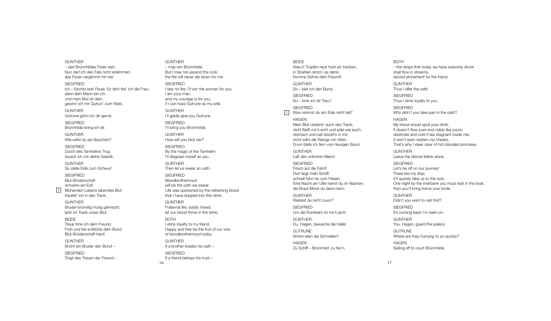– darf Brünnhildes Freier sein. i l i i Nun darf ich den Fels nicht erklimmen; i l i l i das Feuer verglimmt mir nie! l i i i SIEGFRIED lch – fürchte kein Feuer, für dich frei' ich die Frau; i i i i denn dein Mann bin ich, i i i und mein Mut ist dein, i i i gewinn ich mir Gutrun' zum Weib. i i i i **GUNTHER** Gutrune gönn ich dir gerne. i i SIEGFRIED Brünnhilde bring ich dir. i l i i i G U N T H E R Wie willst du sie täuschen? i i l l i SIEGFRIED Durch des Tarnhelms Trug l tausch ich mir deine Gestalt. i i i l G U N T H E R So stelle Eide zum Schwur! l l i **SIEGFRIED** Blut-Brüderschaft l schwöre ein Eid! i i 2 Blühenden Lebens labendes Blut l l l träufelt' ich in den Trank. l i i G U N T H E R Bruder-brünstig mutig gemischt, i i i blüh im Trank unser Blut. l i l **BEIDE** Treue trink ich dem Freund. i i Froh und frei entblühe dem Bund i l Blut-Brüderschaft heut! l

i

G U N T H E R

G U N T H E R Bricht ein Bruder den Bund – i i

**SIEGFRIED** Trügt den Treuen der Freund – G U N T H E R – may win Brünnhilde. i i l But I may not ascend the rock; the fire will never die down for me. i i l l i

SIEGFRIED I fear no fire: I'll win the woman for you. i l l i I am your man, and my courage is for you, i i f I can have Gutrune as my wife. i G U N T H E R I'll gladly give you Gutrune. l l l l i SIEGFRIED l'll bring you Brünnhilde. l l i i l G U N T H E R How will you trick her? i l l i SIEGFRIED By the magic of the Tarnhelm i l I'll disguise myself as you. l l i i l G U N T H E R Then let us swear an oath. l SIEGFRIED **Bloodbrotherhood** l will be the oath we swear. i l l Life was quickened by the refreshing blood i i i l that I have dripped into this drink. i i i i

G U N T H E R Fraternal fire, boldly mixed, l i l l i l et our blood thrive in the drink. l i i i

B O T H I drink loyalty to my friend. i l l i Happy and free be the fruit of our vow i of bloodbrotherhood today. l

G U N T H E R If a brother breaks his oath – i

SIEGFRIED If a friend betrays his trust i i

1 6

B E I D E Was in Tropfen heut hold wir tranken, i l i i n Strahlen ström' es dahin, l i fromme Sühne dem Freund! G U N T H E R So – biet ich den Bund. i i SIEGFRIED So – trink ich dir Treu'! i i i SIEGFRIED 3 Was nahmst du am Eide nicht teil? i i i l H A G E N Mein Blut verdürb' euch den Trank; i l nicht fließt mir's echt und edel wie euch; i l i i l i störrisch und kalt stockt's in mir; i l i i nicht will's die Wange mir röten. i i l l i i Drum bleib ich fern vom feurigen Bund. l i i i G U N T H E R Laß den unfrohen Mann! SIEGFRIED Frisch auf die Fahrt! i i Dort liegt mein Schiff; l i i i schnell führt es zum Felsen. l l l Eine Nacht am Ufer harrst du im Nachen; i i die Braut fährst du dann heim. i i

**GUNTHER** Rastest du nicht zuvor? i

SIEGFRIED Um die Rückkehr ist mir's jach! i i i j

**GUNTHER** Du, Hagen, bewache die Halle! i l l

GUTRUNE Wohin eilen die Schnellen? i i l i l l

H A G E N Zu Schiff – Brünnhild' zu frei'n. i i l i

B O T H

– the drops that today we have solemnly drunk l l shall flow in streams, l l l i sacred atonement for the friend. i G U N T H E R Thus I offer the oath. SIEGFRIED Thus I drink loyalty to you. i l l SIEGFRIED Why didn't you take part in the oath? i i H A G E N My blood would spoil your drink. l l i l i It doesn't flow pure and noble like yours; l l l i obstinate and cold it lies stagnant inside me; i l i l i i i i t won't even redden my cheeks. That's why I steer clear of hot-blooded promises. l l i G U N T H E R Leave the dismal fellow alone. i l l l l SIEGFRIED Let's be off on our journey! j There lies my ship; l i i i t'll quickly take us to the rock. l l i l One night by the riverbank you must wait in the boat, i i i i then you'll bring home your bride. l l i i G U N T H E R Didn't you want to rest first? i i SIEGFRIED It's coming back I'm keen on. i G U N T H E R You, Hagen, guard the palace. l GUTRUNE Where are they hurrying to so quickly? i i l H A G E N Sailing off to court Brünnhilde. i l i i l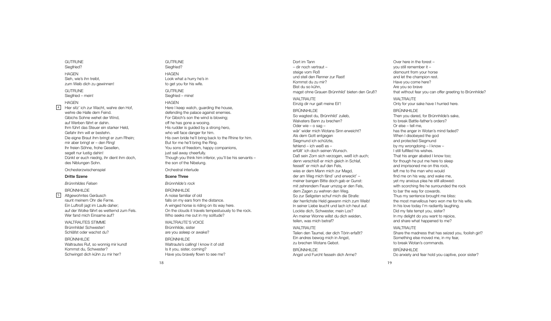GUTRUNE Siegfried? i i H A G E N Sieh, wie's ihn treibt, i i i i zum Weib dich zu gewinnen! i i i

#### GUTRUNE Siegfried – mein! i i i

H A G E N

 $\frac{4}{5}$ 

Hier sitz' ich zur Wacht, wahre den Hof, i i i wehre die Halle dem Feind. i l l i Gibichs Sohne wehet der Wind, i i i auf Werben fährt er dahin. i Ihm führt das Steuer ein starker Held, i l Gefahr ihm will er bestehn. i i l l Die eigne Braut ihm bringt er zum Rhein; i i i i i mir aber bringt er – den Ring! i i i lhr freien Söhne, frohe Gesellen, i l l segelt nur lustig dahin! l l i i Dünkt er euch niedrig, ihr dient ihm doch, i i i i i des Niblungen Sohn. i l

Orchesterzwischenspie i i l

#### Dritte Szene

*B rü n n h ilde s Fe ls e n*

**BRÜNNHILDE** Altgewohntes Geräusch l raunt meinem Ohr die Ferne. i i Ein Luftroß jagt im Laufe daher; i j i auf der Wolke fährt es wetternd zum Fels. l l Wer fand mich Einsame auf? i i

WALTRAUTES STIMME Brünnhilde! Schwester! i l Schläfst oder wachst du? l

**BRÜNNHILDE** Waltrautes Ruf, so wonnig mir kund! l i i Kommst du, Schwester? Schwingst dich kühn zu mir her? i i i

GUTRUNE Siegfried? i i H A G E N Look what a hurry he's in i to get you for his wife. i i GUTRUNE Siegfried – mine! i i i H A G E N Here I keep watch, guarding the house, i defending the palace against enemies. i l i i For Gibich's son the wind is blowing; i i i i l i off he has gone a-wooing. i His rudder is guided by a strong hero, i i i who will face danger for him. i l l i His own bride he'll bring back to the Rhine for him. i i l l i i i But for me he'll bring the Ring. l l i i You sons of freedom, happy companions, i j ust sail away cheerfully. i l l l Though you think him inferior, you'll be his servants – i i i i l l i the son of the Nibelung. i l Orchestral interlude l i l

# Scene Three

*B rü n n h ilde 's ro c k*

BRÜNNHILDE A noise familiar of old i i l i l falls on my ears from the distance. l l i A winged horse is riding on its way here. i i i i i On the clouds it travels tempestuously to the rock. l i l l Who seeks me out in my solitude? i l i

WALTRAUTE'S VOICE Brünnhilde, sister i l i are you asleep or awake? l

BRÜNNHILDE Waltraute's calling! I know it of old! l l l i i l Is it you, sister, coming? i i i Have you bravely flown to see me? l l

Dort im Tann i – dir noch vertraut – i steige vom Roß i und stell den Renner zur Rast! l l Kommst du zu mir? i Bist du so kühn, i magst ohne Grauen Brünnhild' bieten den Gruß? i l i WALTRAUTE Einzig dir nur galt meine Eil'! i i i l i i l **BRÜNNHILDE** So wagtest du, Brünnhild' zulieb, i l l i Walvaters Bann zu brechen? l Oder wie - o sag i wär' wider mich Wotans Sinn erweicht? i i i i Als dem Gott entgegen l Siegmund ich schützte, i i fehlend – ich weiß es – l i i erfüllt' ich doch seinen Wunsch. l l i i Daß sein Zorn sich verzogen, weiß ich auch; i i i i denn verschloß er mich gleich in Schlaf, l i l i i l fesselt' er mich auf den Fels, l i l wies er dem Mann mich zur Magd, i i der am Weg mich fänd' und erweckt' i meiner bangen Bitte doch gab er Gunst: i i mit zehrendem Feuer umzog er den Fels, i l dem Zagen zu wehren den Weg. So zur Seligsten schuf mich die Strafe: l i i i der herrlichste Held gewann mich zum Weib! l i l i i In seiner Liebe leucht und lach ich heut auf. i i l l i Lockte dich, Schwester, mein Los? i i An meiner Wonne willst du dich weiden, i i l l i i teilen, was mich betraf? i l i

#### WALTRAUTE Teilen den Taumel, der dich Törin erfaßt? i l l i i Ein andres bewog mich in Angst, i i i zu brechen Wotans Gebot.

**BRÜNNHILDE** Angst und Furcht fesseln dich Arme? l i

Over here in the forest – i you still remember it – i l l i dismount from your horse i and let the champion rest. l i Have you come here? Are you so brave that without fear you can offer greeting to Brünnhilde? i i i l WALTRAUTE Only for your sake have I hurried here. l i BRÜNNHILDE Then you dared, for Brünnhilde's sake, i l to break Battle-father's orders? l Or else – tell me, l l l has the anger in Wotan's mind faded? i i When I disobeyed the god i and protected Siegmund i by my wrongdoing – I know – i I still fulfilled his wishes. i l l l i l l i i That his anger abated I know too; i for though he put me here to sleep l and imprisoned me on this rock, i i i eft me to the man who would l find me on his way, and wake me, i yet my anxious plea he still allowed: i l i l l l l with scorching fire he surrounded the rock i i i to bar the way for cowards. Thus my sentence brought me bliss: l i the most marvellous hero won me for his wife. l l i i In his love today I'm radiantly laughing. i l i l l i Did my fate tempt you, sister? i i In my delight do you want to rejoice, l i i and share what happened to me?

#### WALTRAUTE Share the madness that has seized you, foolish girl? i

l i i l Something else moved me, in my fear, i l i to break Wotan's commands.

BRÜNNHILDE Do anxiety and fear hold you captive, poor sister? i l i i

l

i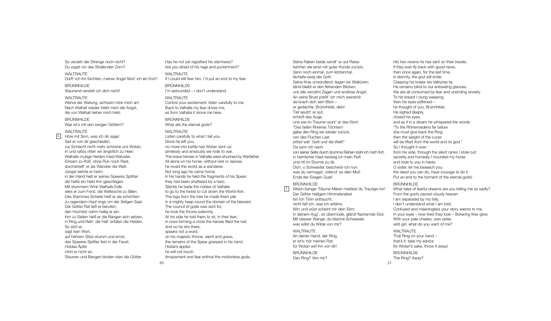So verzieh der Strenge noch nicht? Du zagst vor des Strafenden Zorn?

WAI TRAUTF Dürft' ich ihn fürchten, meiner Angst fänd' ich ein End'! BRÜNNHILDE Staunend versteh ich dich nicht!

WAI TRAUTF Wehre der Wallung, achtsam höre mich an! Nach Walhall wieder treibt mich die Angst, die von Walhall hieher mich trieb.

BRÜNNHILDE Was ist's mit den ewigen Göttern?

WALTRAUTE

6

Höre mit Sinn, was ich dir sage! Seit er von dir geschieden, zur Schlacht nicht mehr schickte uns Wotan; irr und ratlos ritten wir ängstlich zu Heer; Walhalls mutige Helden mied Walvater. Einsam zu Roß, ohne Ruh noch Rast, durchstreift' er als Wandrer die Welt. Jüngst kehrte er heim; in der Hand hielt er seines Speeres Splitter: die hatte ein Held ihm geschlagen. Mit stummem Wink Walhalls Edle wies er zum Forst, die Weltesche zu fällen. Des Stammes Scheite hieß er sie schichten zu ragendem Hauf rings um der Seligen Saal. Der Götter Rat ließ er berufen; den Hochsitz nahm heilig er ein: ihm zu Seiten hieß er die Bangen sich setzen, in Ring und Reih' die Hall' erfüllen die Helden. So sitzt er, sagt kein Wort. auf hehrem Sitze stumm und ernst, des Speeres Splitter fest in der Faust; Holdas Äpfel rührt er nicht an. Staunen und Bangen binden starr die Götter.

Has he not yet regretted his sternness? Are you afraid of his rage and punishment? WAI TRAUTF If I could still fear him, I'd put an end to my fear. BRÜNNHILDE I'm astounded – I don't understand. WAI TRAI ITF

Control your excitement: listen carefully to me. Back to Valhalla my fear drives me, as from Valhalla it drove me here.

BRÜNNHILDE What ails the eternal gods?

WALTRAUTE Listen carefully to what I tell you. Since he left you, no more into battle has Wotan sent us; aimlessly and anxiously we rode to war. The brave heroes in Valhalla were shunned by Warfather. All alone on his horse, without rest or repose, he roved the world as a wanderer. Not long ago he came home; in his hands he held the fragments of his Spear: they had been shattered by a hero. Silently he bade the nobles of Valhalla to go to the forest to cut down the World-Ash. The logs from the tree he made them pile in a mighty heap round the domain of the blessed. The council of gods was sent for; he took the throne solemnly. At his side he told them to sit, in their fear; in rows forming a circle the heroes filled the hall. And so he sits there, speaks not a word, on his majestic throne, silent and grave, the remains of the Spear grasped in his hand. Holda's apples he will not touch. Amazement and fear enthral the motionless gods.

Seine Raben beide sandt' er auf Reise: kehrten die einst mit guter Kunde zurück, dann noch einmal, zum letztenmal, lächelte ewig der Gott. Seine Knie umwindend, liegen wir Walküren; blind bleibt er den flehenden Blicken; uns alle verzehrt Zagen und endlose Angst. An seine Brust preßt' ich mich weinend: da brach sich sein Blick – er gedachte, Brünnhilde, dein! Tief seufzt' er auf, schloß das Auge, und wie im Traume raunt' er das Wort: "Des tiefen Rheines Töchtern gäbe den Ring sie wieder zurück, von des Fluches Last erlöst wär' Gott und die Welt!" Da sann ich nach: von seiner Seite durch stumme Reihen stahl ich mich fort; in heimlicher Hast bestieg ich mein Roß und ritt im Sturme zu dir. Dich, o Schwester, beschwör ich nun: was du vermagst, vollend' es dein Mut! Ende der Ewigen Qual!

## BRÜNNHILDE

Welch banger Träume Mären meldest du Traurige mir! Der Götter heiligem Himmelsnebel bin ich Törin enttaucht: nicht faß ich, was ich erfahre. Wirr und wüst scheint mir dein Sinn; in deinem Aug', so übermüde, glänzt flackernde Glut. Mit blasser Wange, du bleiche Schwester, was willst du Wilde von mir? WAI TRAUTF  $\sqrt{7}$ 

An deiner Hand, der Ring, er ist's; hör meinen Rat: für Wotan wirf ihn von dir! BRÜNNHILDE Den Ring? Von mir?

His two ravens he has sent on their travels. If they ever fly back with good news, then once again, for the last time, in eternity, the god will smile. Clasping his knees we Valkyries lie. He remains blind to our entreating glances. We are all consumed by fear and unending anxiety. To his breast I clung weeping; then his eyes softened – he thought of you, Brünnhilde. He sighed deeply, closed his eyes, and as if in a dream he whispered the words: "To the Rhinemaidens far below she must give back the Ring: then the weight of the curse will be lifted from the world and its god." So I thought it over: from his side, through the silent ranks I stole out; secretly and hurriedly I mounted my horse and rode to you in haste. O sister, let me beseech you: the deed you can do, have courage to do it. Put an end to the torment of the eternal gods!

#### BRÜNNHILDE

21

What tales of fearful dreams are you telling me so sadly? From the god's sacred cloudy heaven I am separated by my folly. I don't understand what I am told. Confused and meaningless your story seems to me. In your eyes – how tired they look – flickering fires glow. With your pale cheeks, wan sister, wild girl, what do you want of me? WAI TRAUTF That Ring on your hand – that's it: take my advice for Wotan's sake, throw it away! BRÜNNHILDE The Ring? Away?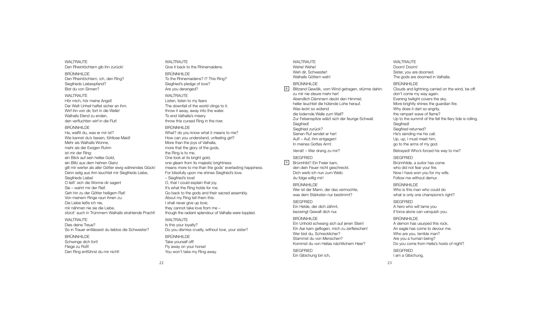WALTRAUTE Den Rheintöchtern gib ihn zurück!

BRÜNNHILDE Den Rheintöchtern, ich, den Ring? Siegfrieds Liebespfand? Bist du von Sinnen?

WALTRAUTE Hör mich, hör meine Angst! Der Welt Unheil haftet sicher an ihm. Wirf ihn von dir, fort in die Welle! Walhalls Elend zu enden, den verfluchten wirf in die Flut!

BRÜNNHILDE

Ha, weißt du, was er mir ist? Wie kannst du's fassen, fühllose Maid! Mehr als Walhalls Wonne, mehr als der Ewigen Ruhm ist mir der Ring: ein Blick auf sein helles Gold, ein Blitz aus dem hehren Glanz gilt mir werter als aller Götter ewig währendes Glück! Denn selig aus ihm leuchtet mir Siegfrieds Liebe, Siegfrieds Liebe! O ließ' sich die Wonne dir sagen! Sie – wahrt mir der Reif. Geh hin zu der Götter heiligem Rat! Von meinem Ringe raun ihnen zu: Die Liebe ließe ich nie, mir nähmen nie sie die Liebe, stürzt' auch in Trümmern Walhalls strahlende Pracht!

WALTRALITE Dies deine Treue? So in Trauer entlässest du lieblos die Schwester?

BRÜNNHILDE Schwinge dich fort! Fliege zu Roß! Den Ring entführst du mir nicht! WALTRAUTE Give it back to the Rhinemaidens. BRÜNNHILDE To the Rhinemaidens? I? This Ring? Siegfried's pledge of love? Are you deranged? WALTRALITE Listen, listen to my fears The downfall of the world clings to it. throw it away, away into the water. To end Valhalla's misery throw this cursed Ring in the river. BRÜNNHILDE

## What? do you know what it means to me? How can you understand, unfeeling girl? More than the joys of Valhalla, more that the glory of the gods. the Ring is to me. One look at its bright gold, one gleam from its majestic brightness means more to me than the gods' everlasting happiness. For blissfully upon me shines Siegfried's love. – Siegfried's love! O, that I could explain that joy. It's what the Ring holds for me. Go back to the gods and their sacred assembly. About my Ring tell them this: I shall never give up love; they cannot take love from me – though the radiant splendour of Valhalla were toppled. WAI TRAI ITF Is this your loyalty? Do you dismiss cruelly, without love, your sister? BRÜNNHILDE Take yourself off! Fly away on your horse! You won't take my Ring away.

WALTRAUTE Wehe! Wehe! Weh dir, Schwester! Walhalls Göttern weh!

## BRÜNNHILDE

 $|8|$ 

Blitzend Gewölk, vom Wind getragen, stürme dahin: zu mir nie steure mehr her! Abendlich Dämmern deckt den Himmel; heller leuchtet die hütende Lohe herauf. Was leckt so wütend die lodernde Welle zum Wall? Zur Felsenspitze wälzt sich der feurige Schwall. Siegfried! Siegfried zurück? Seinen Ruf sendet er her! Auf! – Auf, ihm entgegen! In meines Gottes Arm! Verrat! – Wer drang zu mir?

SIEGFRIED

Brünnhild'! Ein Freier kam, den dein Feuer nicht geschreckt. Dich werb ich nun zum Weib: du folge willig mir!  $\sqrt{9}$ 

> BRÜNNHILDE Wer ist der Mann, der das vermochte was dem Stärksten nur bestimmt?

SIEGFRIED Ein Helde, der dich zähmt, bezwingt Gewalt dich nur.

#### BRÜNNHILDE

Ein Unhold schwang sich auf jenen Stein! Ein Aar kam geflogen, mich zu zerfleischen! Wer bist du, Schrecklicher? Stammst du von Menschen? Kommst du von Hellas nächtlichem Heer? **SIEGERIED** Ein Gibichung bin ich,

WAI TRAUTF Doom! Doom! Sister, you are doomed. The gods are doomed in Valhalla.

### BRÜNNHILDE

Clouds and lightning carried on the wind, be off: don't come my way again. Evening twilight covers the sky. More brightly shines the guardian fire. Why does it dart so angrily, the rampart wave of flame? Up to the summit of the fell the fiery tide is rolling. Siegfried! Siegfried returned? He's sending me his call. Up, up, I must meet him, go to the arms of my god.

Betrayed! Who's forced his way to me?

## **SIEGERIED**

Brünnhilde, a suitor has come who did not fear your fire. Now I have won you for my wife. Follow me without demur.

BRÜNNHILDE

Who is this man who could do what is only one champions's right?

**SIEGERIED** A hero who will tame you if force alone can vanquish you.

#### BRÜNNHILDE

A demon has usurped this rock. An eagle has come to devour me. Who are you, terrible man? Are you a human being? Do you come from Hella's hosts of night? **SIEGFRIED** I am a Gibichung,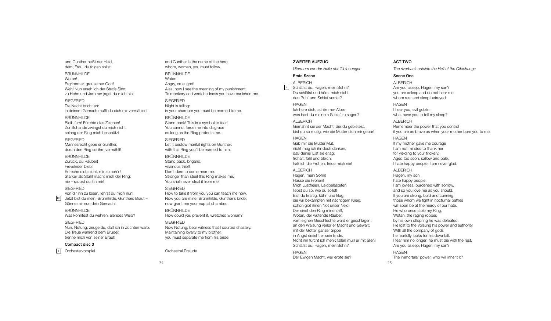und Gunther heißt der Held, dem, Frau, du folgen sollst.

BRÜNNHILDE Wotan! Ergrimmter, grausamer Gott! Weh! Nun erseh ich der Strafe Sinn; zu Hohn und Jammer jagst du mich hin! **SIEGERIED** Die Nacht bricht an: in deinem Gemach mußt du dich mir vermählen!

BRÜNNHILDE Bleib fern! Fürchte dies Zeichen! Zur Schande zwingst du mich nicht, solang der Ring mich beschützt.

**SIEGERIED** Mannesrecht gebe er Gunther, durch den Ring sei ihm vermählt!

BRÜNNHILDE Zurück, du Räuber! Frevelnder Dieb! Erfreche dich nicht, mir zu nah'n! Stärker als Stahl macht mich der Ring: nie – raubst du ihn mir!

**SIEGERIED** 

Von dir ihn zu lösen, lehrst du mich nun! Jetzt bist du mein, Brünnhilde, Gunthers Braut – Gönne mir nun dein Gemach!  $|10|$ 

BRÜNNHILDE

Was könntest du wehren, elendes Weib?

## SIEGFRIED

Nun, Notung, zeuge du, daß ich in Züchten warb. Die Treue wahrend dem Bruder, trenne mich von seiner Braut!

## Compact disc 3

1 Orchestervorspiel

and Gunther is the name of the hero whom, woman, you must follow.

BRÜNNHILDE Wotan! Angry, cruel god! Alas, now I see the meaning of my punishment. To mockery and wretchedness you have banished me. **SIEGERIED** Night is falling: in your chamber you must be married to me.

BRÜNNHILDE Stand back! This is a symbol to fear! You cannot force me into disgrace as long as the Ring protects me.

**SIEGFRIED** Let it bestow marital rights on Gunther: with this Ring you'll be married to him.

## BRÜNNHILDE

Stand back, brigand, villainous thief! Don't dare to come near me. Stronger than steel this Ring makes me. You shall never steal it from me.

#### SIEGFRIED

How to take it from you you can teach me now. Now you are mine, Brünnhilde, Gunther's bride; now grant me your nuptial chamber. BRÜNNHILDE

How could you prevent it, wretched woman?

## **SIEGFRIED** Now Notung, bear witness that I courted chastely. Maintaining loyalty to my brother, you must separate me from his bride.

Orchestral Prelude

## ZWEITER AUFZUG

*Uferraum vor der Halle der Gibichungen*

## Erste Szene

ALBERICH

2 Schläfst du, Hagen, mein Sohn? Du schläfst und hörst mich nicht, den Ruh' und Schlaf verriet?

## **HAGEN**

Ich höre dich, schlimmer Albe: was hast du meinem Schlaf zu sagen?

ALBERICH Gemahnt sei der Macht, der du gebietest, bist du so mutig, wie die Mutter dich mir gebar!

#### HAGEN

Gab mir die Mutter Mut, nicht mag ich ihr doch danken, daß deiner List sie erlag: frühalt, fahl und bleich, haß ich die Frohen, freue mich nie!

### ALBERICH

Hagen, mein Sohn! Hasse die Frohen! Mich Lustfreien, Leidbelasteten liebst du so, wie du sollst! Bist du kräftig, kühn und klug, die wir bekämpfen mit nächtigem Krieg, schon gibt ihnen Not unser Neid. Der einst den Ring mir entriß, Wotan, der wütende Räuber, vom eignen Geschlechte ward er geschlagen: an den Wälsung verlor er Macht und Gewalt; mit der Götter ganzer Sippe in Angst ersieht er sein Ende. Nicht ihn fürcht ich mehr: fallen muß er mit allen! Schläfst du, Hagen, mein Sohn?

#### **HAGEN** Der Ewigen Macht, wer erbte sie?

25 The immortals' power, who will inherit it?

## ACT TWO

*The riverbank outside the Hall of the Gibichungs*

## Scene One

ALBERICH Are you asleep, Hagen, my son? you are asleep and do not hear me whom rest and sleep betrayed.

#### HAGEN

I hear you, evil goblin; what have you to tell my sleep?

#### ALBERICH Remember the power that you control

if you are as brave as when your mother bore you to me. **HAGEN** 

If my mother gave me courage I am not minded to thank her for yielding to your trickery. Aged too soon, sallow and pale, I hate happy people, I am never glad.

#### ALBERICH

Hagen, my son hate happy people. I am joyless, burdened with sorrow, and so you love me as you should. If you are strong, bold and cunning, those whom we fight in nocturnal battles will soon be at the mercy of our hate. He who once stole my Ring, Wotan, the raging robber, by his own offspring he was defeated. He lost to the Volsung his power and authority. With all the company of gods he fearfully looks for his downfall. I fear him no longer; he must die with the rest. Are you asleep, Hagen, my son?

## HAGEN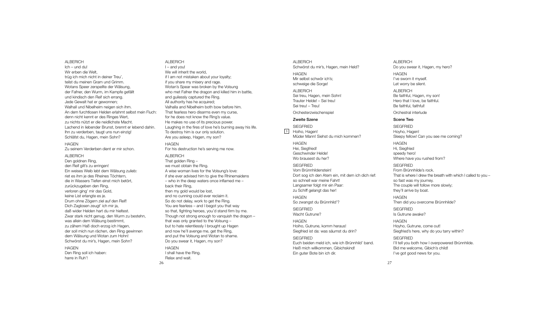#### **ALBERICH**

Ich – und du! Wir erben die Welt, trüg ich mich nicht in deiner Treu', teilst du meinen Gram und Grimm. Wotans Speer zerspellte der Wälsung, der Fafner, den Wurm, im Kampfe gefällt und kindisch den Reif sich errang. Jede Gewalt hat er gewonnen; Walhall und Nibelheim neigen sich ihm. An dem furchtlosen Helden erlahmt selbst mein Fluch: denn nicht kennt er des Ringes Wert, zu nichts nützt er die neidlichste Macht. Lachend in liebender Brunst, brennt er lebend dahin. Ihn zu verderben, taugt uns nun einzig! Schläfst du, Hagen, mein Sohn?

### HAGEN

Zu seinem Verderben dient er mir schon.

#### ALBERICH

Den goldnen Ring, den Reif gilt's zu erringen! Ein weises Weib lebt dem Wälsung zulieb: riet es ihm je des Rheines Töchtern die in Wassers Tiefen einst mich betört, zurückzugeben den Ring, verloren ging' mir das Gold, keine List erlangte es je. Drum ohne Zögern ziel auf den Reif! Dich Zaglosen zeugt' ich mir ja, daß wider Helden hart du mir hieltest. Zwar stark nicht genug, den Wurm zu bestehn, was allein dem Wälsung bestimmt, zu zähem Haß doch erzog ich Hagen, der soll mich nun rächen, den Ring gewinnen dem Wälsung und Wotan zum Hohn! Schwörst du mir's, Hagen, mein Sohn?

**HAGEN** Den Ring soll ich haben: harre in Ruh'!

ALBERICH I – and you! We will inherit the world, if I am not mistaken about your loyalty; if you share my misery and rage. Wotan's Spear was broken by the Volsung who met Fafner the dragon and killed him in battle, and guilessly captured the Ring. All authority has he acquired: Valhalla and Nibelheim both bow before him. That fearless hero disarms even my curse, for he does not know the Ring's value. He makes no use of its precious power. Laughing in the fires of love he's burning away his life. To destroy him is our only solution. Are you asleep, Hagen, my son? HAGEN

For his destruction he's serving me now. ALBERICH That golden Ring – we must obtain the Ring. A wise woman lives for the Volsung's love: if she ever advised him to give the Rhinemaidens – who in the deep waters once inflamed me – back their Ring, then my gold would be lost, and no cunning could ever reclaim it. So do not delay, work to get the Ring. You are fearless – and I begot you that way so that, fighting heroes, you'd stand firm by me. Though not strong enough to vanquish the dragon – that was only granted to the Volsung – but to hate relentlessly I brought up Hagen and now he'll avenge me, get the Ring, and put the Volsung and Wotan to shame. Do you swear it, Hagen, my son?

**HAGEN** I shall have the Ring. Relax and wait.

26

**ALBERICH** Schwörst du mir's, Hagen, mein Held? **HAGEN** Mir selbst schwör ich's; schweige die Sorge! ALBERICH Sei treu, Hagen, mein Sohn! Trauter Helde! – Sei treu! Sei treu! – Treu!

## Orchesterzwischenspiel

## Zweite Szene

**SIEGERIED** 3 Hoiho, Hagen! Müder Mann! Siehst du mich kommen?

HAGEN Hei, Siegfried!

Geschwinder Helde! Wo brausest du her? SIEGFRIED

Vom Brünnhildenstein! Dort sog ich den Atem ein, mit dem ich dich rief: so schnell war meine Fahrt! Langsamer folgt mir ein Paar: zu Schiff gelangt das her!

HAGEN So zwangst du Brünnhild'?

SIEGFRIED Wacht Gutrune?

**HAGEN** Hoiho, Gutrune, komm heraus! Siegfried ist da: was säumst du drin?

#### **SIEGERIED**

Euch beiden meld ich, wie ich Brünnhild' band. Heiß mich willkommen, Gibichskind! Ein guter Bote bin ich dir.

## Do you swear it, Hagen, my hero? HAGEN I've sworn it myself. Let worry be silent. ALBERICH Be faithful, Hagen, my son! Hero that I love, be faithful. Be faithful, faithful!

Orchestral interlude

## Scene Two

**ALBERICH** 

**SIEGFRIED** Hoyho, Hagen! Sleepy fellow! Can you see me coming? **HAGEN** Hi, Siegfried

speedy hero! Where have you rushed from? SIEGFRIED

From Brünnhilde's rock. That is where I drew the breath with which I called to you – so fast was my journey. The couple will follow more slowly; they'll arrive by boat.

HAGEN Then did you overcome Brünnhilde?

**SIEGERIED** Is Gutrune awake?

HAGEN Hoyho, Gutrune, come out! Siegfried's here, why do you tarry within?

**SIEGERIED** I'll tell you both how I overpowered Brünnhilde. Bid me welcome, Gibich's child! I've got good news for you.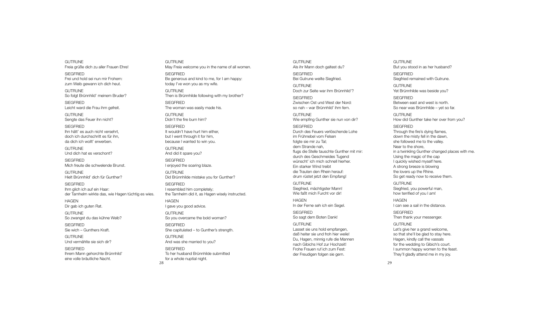GUTRUNE Freia grüße dich zu aller Frauen Ehre! **SIEGERIED** Frei und hold sei nun mir Frohem: zum Weib gewann ich dich heut. **GUTRUNE** 

So folgt Brünnhild' meinem Bruder?

SIEGFRIED Leicht ward die Frau ihm gefreit.

**GUTRUNE** Sengte das Feuer ihn nicht?

**SIEGERIED** Ihn hätt' es auch nicht versehrt, doch ich durchschritt es für ihn, da dich ich wollt' erwerben.

**GUTRUNE** Und dich hat es verschont? SIEGFRIED

Mich freute die schwelende Brunst.

**GUTRUNE** Hielt Brünnhild' dich für Gunther?

**SIEGERIED** Ihm glich ich auf ein Haar: der Tarnhelm wirkte das, wie Hagen tüchtig es wies.

28

HAGEN Dir gab ich guten Rat.

**GUTRUNE** So zwangst du das kühne Weib?

**SIEGERIED** Sie wich – Gunthers Kraft.

GUTRUNE Und vermählte sie sich dir?

**SIEGERIED** Ihrem Mann gehorchte Brünnhild' eine volle bräutliche Nacht.

**GUTRUNE** May Freia welcome you in the name of all women. **SIEGFRIED** Be generous and kind to me, for I am happy: today I've won you as my wife. **GUTRUNE** Then is Brünnhilde following with my brother? **SIEGFRIED** The woman was easily made his. GUTRUNE Didn't the fire burn him? **SIEGERIED** It wouldn't have hurt him either, but I went through it for him, because I wanted to win you. GUTRUNE And did it spare you? **SIEGERIED** I enjoyed the soaring blaze. GUTRUNE Did Brünnhilde mistake you for Gunther? **SIEGFRIED** I resembled him completely; the Tarnhelm did it, as Hagen wisely instructed. HAGEN I gave you good advice. **GUTRUNE** So you overcame the bold woman? SIEGFRIED She capitulated – to Gunther's strength. GUTRUNE And was she married to you? SIEGFRIED To her husband Brünnhilde submitted for a whole nuptial night.

GUTRUNE Als ihr Mann doch galtest du? **SIEGERIED** Bei Gutrune weilte Siegfried. **GUTRUNE** Doch zur Seite war ihm Brünnhild'? SIEGFRIED Zwischen Ost und West der Nord: so nah – war Brünnhild' ihm fern. **GUTRUNE** Wie empfing Gunther sie nun von dir? **SIEGERIED** Durch des Feuers verlöschende Lohe im Frühnebel vom Felsen folgte sie mir zu Tal; dem Strande nah, flugs die Stelle tauschte Gunther mit mir: durch des Geschmeides Tugend wünscht' ich mich schnell hierher. Ein starker Wind treibt die Trauten den Rhein herauf: drum rüstet jetzt den Empfang! GUTRUNE Siegfried, mächtigster Mann! Wie faßt mich Furcht vor dir! HAGEN In der Ferne seh ich ein Segel. SIEGFRIED So sagt dem Boten Dank! **GUTRUNE** Lasset sie uns hold empfangen, daß heiter sie und froh hier weile! Du, Hagen, minnig rufe die Mannen nach Gibichs Hof zur Hochzeit! Frohe Frauen ruf ich zum Fest: der Freudigen folgen sie gern.

But you stood in as her husband? **SIEGERIED** Siegfried remained with Gutrune. **GUTRUNE** Yet Brünnhilde was beside you? **SIEGERIED** Between east and west is north. So near was Brünnhilde – yet so far. **GUTRUNE** How did Gunther take her over from you? **SIEGERIED** Through the fire's dying flames, down the misty fell in the dawn, she followed me to the valley. Near to the shore, in a twinkling Gunther changed places with me. Using the magic of the cap I quickly wished myself here.

**GUTRUNE** 

A strong breeze is blowing the lovers up the Rhine. So get ready now to receive them.

GUTRUNE Siegfried, you powerful man, how terrified of you I am! **HAGEN** I can see a sail in the distance.

SIEGFRIED Then thank your messenger. **GUTRUNE** Let's give her a grand welcome,

so that she'll be glad to stay here. Hagen, kindly call the vassals for the wedding to Gibich's court. I summon happy women to the feast. They'll gladly attend me in my joy.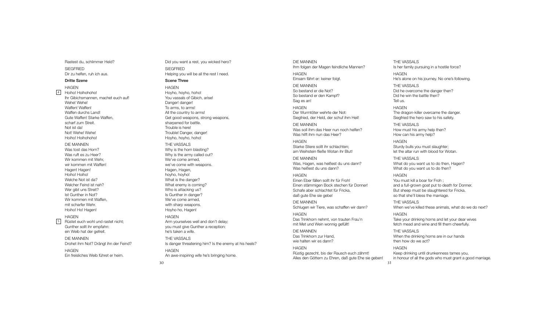Rastest du, schlimmer Held? l i l SIEGFRIED Dir zu helfen, ruh ich aus. i l i

#### Dritte Szene

H A G E N Hoiho! Hoihohoho! i i Ihr Gibichsmannen, machet euch auf! i i Wehe! Wehe! Waffen! Waffen! Waffen durchs Land! Gute Waffen! Starke Waffen, scharf zum Streit. i Not ist da! i Not! Wehe! Wehe! Hoiho! Hoihohoho! i i  $\frac{4}{5}$ 

DIE MANNEN Was tost das Horn? Was ruft es zu Heer? Wir kommen mit Wehr, i i wir kommen mit Waffen! i i Hagen! Hagen! Hoiho! Hoiho! i i Welche Not ist da? l i Welcher Feind ist nah? l i i Wer gibt uns Streit? i i Ist Gunther in Not? i Wir kommen mit Waffen, i i mit scharfer Wehr. i Hoiho! Ho! Hagen! i

#### H A G E N

Rüstet euch wohl und rastet nicht; l i Gunther sollt ihr empfahn: l l i ein Weib hat der gefreit. i i i

DIE MANNEN Drohet ihm Not? Drängt ihn der Feind? i i i H A G E N Ein freisliches Weib führet er heim. i i l i i i

Did you want a rest, you wicked hero? i i SIEGFRIED Helping you will be all the rest I need. l i i l l l l

#### Scene Three

H A G E N Hoyho, hoyho, hoho! You vassals of Gibich, arise! l i i i Danger! danger! To arms, to arms! All the country to arms! l l Get good weapons, strong weapons, sharpened for battle. l Trouble is here! l i Trouble! Danger, danger! l

# T H E VA S S A L S

Hoyho, hoyho, hoho!

Why is the horn blasting? i l i Why is the army called out? i l l We've come armed, we've come with weapons. i Hagen, Hagen, hoyho, hoyho! What is the danger? i What enemy is coming? i i Who is attacking us? i i Is Gunther in danger? i We've come armed, with sharp weapons. i Hoyho ho, Hagen! H A G E N

#### Arm yourselves well and don't delay; l l l l you must give Gunther a reception: i i he's taken a wife. i

T H E VA S S A L S Is danger threatening him? Is the enemy at his heels? i i i l H A G E N An awe-inspiring wife he's bringing home. i i i i i i

DIE MANNEN Ihm folgen der Magen feindliche Mannen? l i l i H A G E N Einsam fährt er: keiner folgt. i i l DIE MANNEN So bestand er die Not? i So bestand er den Kampf? Sag es an! H A G E N Der Wurmtöter wehrte der Not: Siegfried, der Held, der schuf ihm Heil! i i l i i l

DIE MANNEN Was soll ihm das Heer nun noch helfen? l l i l Was hilft ihm nun das Heer? i l i

H A G E N Starke Stiere sollt ihr schlachten; i l l i l am Weihstein fließe Wotan ihr Blut! i i l i i l

DIE MANNEN Was, Hagen, was heißest du uns dann? i Was heißest du uns dann? i

H A G E N Einen Eber fällen sollt ihr für Froh! i l l l l i Einen stämmigen Bock stechen für Donner! i i Schafe aber schlachtet für Fricka, l i daß gute Ehe sie gebe! i

DIE MANNEN Schlugen wir Tiere, was schaffen wir dann? l i i i

H A G E N Das Trinkhorn nehmt, von trauten Frau'n i mit Met und Wein wonnig gefüllt! i i i l l

DIE MANNEN Das Trinkhorn zur Hand, i wie halten wir es dann? i l i

H A G E N Rüstig gezecht, bis der Rausch euch zähmt! i i Alles den Göttern zu Ehren, daß gute Ehe sie geben! l l i

T H E VA S S A L S Is her family pursuing in a hostile force? i l i i i l H A G E N He's alone on his journey. No one's following. l i j l l i T H E VA S S A L S Did he overcome the danger then? i Did he win the battle then? i i l Tell us. l l H A G E N The dragon-killer overcame the danger. i l l

Siegfried the hero saw to his safety. i i i T H E VA S S A L S

How must his army help then? i l How can his army help? i l

H A G E N Sturdy bulls you must slaughter; l l l l et the altar run with blood for Wotan. l i l

T H E VA S S A L S What do you want us to do then, Hagen? What do you want us to do then?

H A G E N You must kill a boar for Froh ; i l l and a full-grown goat put to death for Donner. l l But sheep must be slaughtered for Fricka, l i so that she'll bless the marriage. l l l i

T H E VA S S A L S When we've killed these animals, what do we do next? i l l i l

H A G E N Take your drinking horns and let your dear wives i i l i fetch mead and wine and fill them cheerfully. i i l l l l

T H E VA S S A L S When the drinking horns are in our hands i i i then how do we act?

3 1

H A G E N Keep drinking until drunkenness tames you, i i i l i n honour of all the gods who must grant a good marriage. l l i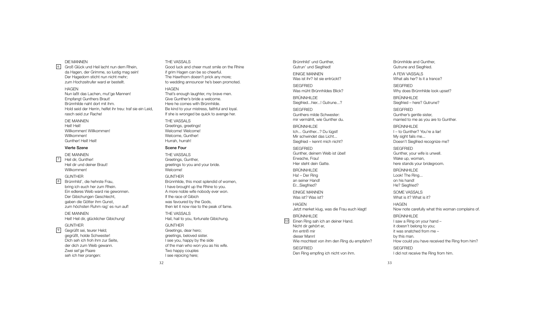#### DIE MANNEN

Groß Glück und Heil lacht nun dem Rhein, l i l l i da Hagen, der Grimme, so lustig mag sein! i l i i Der Hagedorn sticht nun nicht mehr; i i zum Hochzeitrufer ward er bestellt. i l l

#### H A G E N

Nun laßt das Lachen, mut'ge Mannen! l Empfangt Gunthers Braut! Brünnhilde naht dort mit ihm. i l i i Hold seid der Herrin, helfet ihr treu: traf sie ein Leid, l i i l i i i i rasch seid zur Rache! i

#### DIE MANNEN Heil! Heil! i l i l

Willkommen! Willkommen! i l l i l l Willkommen! i l l Gunther! Heil! Heil! i l i l

#### Vierte Szene

DIE MANNEN Heil dir, Gunther! i l i Heil dir und deiner Braut! i l i i Willkommen! i l l  $\frac{6}{8}$ 

#### **GUNTHER**

Brünnhild', die hehrste Frau, i l i bring ich euch her zum Rhein. i i i Ein edleres Weib ward nie gewonnen. i l i i Der Gibichungen Geschlecht, i i l gaben die Götter ihm Gunst, i i zum höchsten Ruhm rag' es nun auf!

DIE MANNEN Heil! Heil dir, glücklicher Gibichung! i l i l i l l i i i

#### **GUNTHER**

Gegrüßt sei, teurer Held; i l gegrüßt, holde Schwester! l Dich seh ich froh ihm zur Seite, i i i i der dich zum Weib gewann. i i Zwei sel'ge Paare i l seh ich hier prangen: i i

#### T H E VA S S A L S

Good luck and cheer must smile on the Rhine l i l i i f grim Hagen can be so cheerful. i l The Hawthorn doesn't prick any more; i to wedding announcer he's been promoted. i

#### H A G E N

That's enough laughter, my brave men. l Give Gunther's bride a welcome. i i l Here he comes with Brünnhilde. i i l Be kind to your mistress, faithful and loyal. i i i l l l If she is wronged be quick to avenge her. i i

T H E VA S S A L S Greetings, greetings! i i Welcome! Welcome! l l Welcome, Gunther! l Hurrah, hurrah!

#### Scene Four

T H E VA S S A L S Greetings, Gunther, i greetings to you and your bride. i i Welcome! l

#### G U N T H E R

Brünnhilde, this most splendid of women, i l i l i I have brought up the Rhine to you. i A more noble wife nobody ever won. l i If the race of Gibich i i was favoured by the Gods, then let it now rise to the peak of fame. l i i

THE VASSALS Hail, hail to you, fortunate Gibichung. i l i l i i

G U N T H E R Greetings, dear hero; i greetings, beloved sister. i l i I see you, happy by the side i of the man who won you as his wife. i i Two happy couples l I see rejoicing here; i i

Gutrun' und Siegfried! i i EINIGE MANNEN Was ist ihr? Ist sie entrückt? i i i SIEGFRIED Was müht Brünnhildes Blick? i l l i BRUNNHILDE Siegfried...hier...! Gutrune...? i i i SIEGFRIED Gunthers milde Schwester: i l mir vermählt, wie Gunther du. i l i BRUNNHILDE lch... Gunther...? Du lügst! l Mir schwindet das Licht... i i i Siegfried – kennt mich nicht? i i i i SIEGFRIED Gunther, deinem Weib ist übel! i i i l Erwache, Frau! Hier steht dein Gatte. i i **BRÜNNHILDE** Ha! - Der Ring i an seiner Hand! i Er...Siegfried? i i EINIGE MANNEN Was ist? Was ist? i i H A G E N Jetzt merket klug, was die Frau euch klagt! l i BRUNNHILDE 10 Einen Ring sah ich an deiner Hand. i i i i Nicht dir gehört er, i i i

Brünnhild' und Gunther, i l

hn entriß mir i i dieser Mann! Wie mochtest von ihm den Ring du empfahn? i i **SIEGFRIED** Den Ring empfing ich nicht von ihm. i i i i i

i

i

l

Gutrune and Siegfried. i i A FEW VASSALS What ails her? Is it a trance? i l i SIEGFRIED Why does Brünnhilde look upset? i l l BRUNNHILDE Siegfried – here? Gutrune? i i SIEGFRIED Gunther's gentle sister, l i married to me as you are to Gunther. i BRUNNHILDE

Brünnhilde and Gunther, i l

l – to Gunther? You're a liar! l i My sight fails me... i i l Doesn't Siegfried recognize me? i i i

SIEGFRIED Gunther, your wife is unwell. i i l l Wake up, woman, here stands your bridegroom. i

BRÜNNHILDE Look! The Ring... i on his hand! i He? Siegfried? i i

SOME VASSALS What is it? What is it? i i i i

H A G E N Now note carefully what this woman complains of. l l i l i

BRUNNHILDE I saw a Ring on your hand – i i t doesn't belong to you; l i t was snatched from me – by this man. i How could you have received the Ring from him? l i i i SIEGFRIED I did not receive the Ring from him. i i i i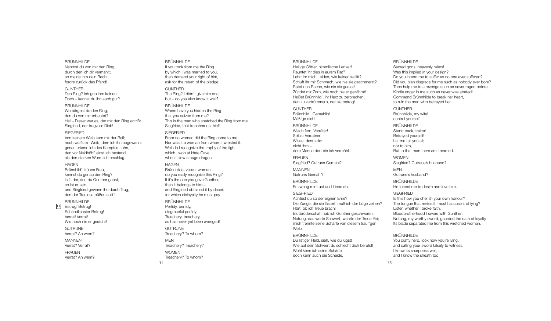#### BRÜNNHILDE

Nahmst du von mir den Ring, durch den ich dir vermählt; so melde ihm dein Recht, fordre zurück das Pfand!

#### **GUNTHER** Den Ring? Ich gab ihm keinen: Doch – kennst du ihn auch gut?

Siegfried, der trugvolle Dieb!

BRÜNNHILDE Wo bärgest du den Ring, den du von mir erbeutet? Ha! – Dieser war es, der mir den Ring entriß:

## SIEGFRIED

Von keinem Weib kam mir der Reif; noch war's ein Weib, dem ich ihn abgewann: genau erkenn ich des Kampfes Lohn, den vor Neidhöhl' einst ich bestand, als den starken Wurm ich erschlug.

### **HAGEN**

Brünnhild', kühne Frau, kennst du genau den Ring? Ist's der, den du Gunther gabst, so ist er sein, und Siegfried gewann ihn durch Trug, den der Treulose büßen sollt'!

## BRÜNNHILDE

11 Betrug! Betrug! Schändlichster Betrug! Verrat! Verrat! Wie noch nie er gerächt!

> **GUTRUNE** Verrat? An wem?

MANNEN Verrat? Verrat?

**FRAUEN** 

Verrat? An wem?

### BRÜNNHILDE If you took from me the Ring by which I was married to you, then demand your right of him, ask for the return of the pledge.

GUNTHER

The Ring? I didn't give him one; but – do you also know it well?

BRÜNNHILDE

Where have you hidden the Ring that you seized from me? This is the man who snatched the Ring from me, Siegfried, that treacherous thief!

## **SIEGFRIED**

From no woman did the Ring come to me. Nor was it a woman from whom I wrested it. Well do I recognize the trophy of the fight which I won at Hate Cave when I slew a huge dragon.

#### HAGEN

Brünnhilde, valiant woman, do you really recognize this Ring? If it's the one you gave Gunther, then it belongs to him – and Siegfried obtained it by deceit for which disloyalty he must pay.

#### BRÜNNHILDE Perfidy, perfidy, disgraceful perfidy! Treachery, treachery,

as has never yet been avenged! **GUTRUNE** 

Treachery? To whom?

MEN Treachery? Treachery?

WOMEN Treachery? To whom?

34

### BRÜNNHILDE

Heil'ge Götter, himmlische Lenker! Rauntet ihr dies in eurem Rat? Lehrt ihr mich Leiden, wie keiner sie litt? Schuft ihr mir Schmach, wie nie sie geschmerzt? Ratet nun Rache, wie nie sie gerast! Zündet mir Zorn, wie noch nie er gezähmt! Heißet Brünnhild', ihr Herz zu zerbrechen, den zu zertrümmern, der sie betrog! **GUNTHER** Brünnhild', Gemahlin! Mäß'ge dich! BRÜNNHILDE Weich fern, Verräter! Selbst Verratner! Wisset denn alle: nicht ihm – dem Manne dort bin ich vermählt. **FRAUEN** Siegfried? Gutruns Gemahl? MANNEN Gutruns Gemahl? BRÜNNHILDE Er zwang mir Lust und Liebe ab. **SIEGERIED** Achtest du so der eignen Ehre? Die Zunge, die sie lästert, muß ich der Lüge zeihen? Hört, ob ich Treue brach! Blutbrüderschaft hab ich Gunther geschworen: Notung, das werte Schwert, wahrte der Treue Eid; mich trennte seine Schärfe von diesem traur'gen Weib. BRÜNNHILDE

Du listiger Held, sieh, wie du lügst! Wie auf dein Schwert du schlecht dich berufst! Wohl kenn ich seine Schärfe, doch kenn auch die Scheide,

### BRÜNNHILDE

Sacred gods, heavenly rulers! Was this implied in your design? Do you intend me to suffer as no one ever suffered? Did you plan disgrace for me such as nobody ever bore? Then help me to a revenge such as never raged before. Kindle anger in me such as never was abated! Command Brünnhilde to break her heart, to ruin the man who betrayed her. GUNTHER Brünnhilde, my wife! control yourself. BRÜNNHILDE Stand back, traitor! Betrayed yourself! Let me tell you all; not to him, But to that man there am I married. **WOMEN** Siegfried? Gutrune's husband? **MEN** Gutrune's husband? BRÜNNHILDE He forced me to desire and love him. **SIEGERIED** Is this how you cherish your own honour? The tongue that reviles it, must I accuse it of lying? Listen whether I broke faith. Bloodbrotherhood I swore with Gunther: Notung, my worthy sword, guarded the oath of loyalty. Its blade separated me from this wretched woman.

#### BRÜNNHILDE

You crafty hero, look how you're lying. and calling your sword falsely to witness. I know its sharpness well, and I know the sheath too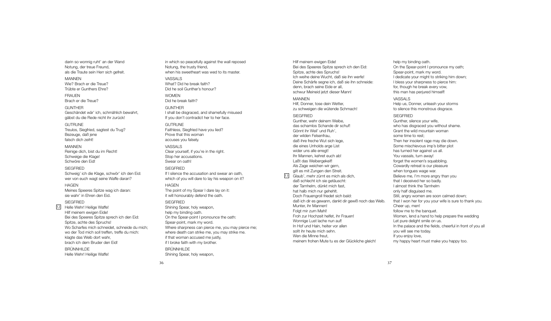darin so wonnig ruht' an der Wand Notung, der treue Freund, als die Traute sein Herr sich gefreit.

MANNEN Wie? Brach er die Treue? Trübte er Gunthers Ehre?

FRAUEN Brach er die Treue?

GUNTHER Geschändet wär' ich, schmählich bewahrt, gäbst du die Rede nicht ihr zurück!

**GUTRUNE** Treulos, Siegfried, sagtest du Trug? Bezeuge, daß jene falsch dich zeiht!

MANNEN Reinige dich, bist du im Recht! Schweige die Klage! Schwöre den Eid!

**SIEGERIED** Schweig' ich die Klage, schwör' ich den Eid: wer von euch wagt seine Waffe daran?

#### **HAGEN**

Meines Speeres Spitze wag ich daran: sie wahr' in Ehren den Eid.

SIEGFRIED

Helle Wehr! Heilige Waffe! Hilf meinem ewigen Eide! Bei des Speeres Spitze sprech ich den Eid: Spitze, achte des Spruchs! Wo Scharfes mich schneidet, schneide du mich; wo der Tod mich soll treffen, treffe du mich: klagte das Weib dort wahr, brach ich dem Bruder den Eid! 12

BRÜNNHILDE Helle Wehr! Heilige Waffe!

in which so peacefully against the wall reposed Notung, the trusty friend, when his sweetheart was wed to its master. VASSALS What? Did he break faith? Did he soil Gunther's honour? **WOMEN** Did he break faith? GUNTHER I shall be disgraced, and shamefully misused

If you don't contradict her to her face.

## GUTRUNE Faithless, Siegfried have you lied? Prove that this woman accuses you falsely.

VASSALS Clear yourself, if you're in the right. Stop her accusations. Swear on oath!

**SIEGFRIED** If I silence the accusation and swear an oath which of you will dare to lay his weapon on it? **HAGEN** The point of my Spear I dare lay on it:

it will honourably defend the oath.

## **SIEGFRIED**

Shining Spear, holy weapon, help my binding oath. On the Spear-point I pronounce the oath: Spear-point, mark my word. Where sharpness can pierce me, you may pierce me; where death can strike me, you may strike me. if that woman accused me justly, if I broke faith with my brother.

BRÜNNHILDE Shining Spear, holy weapon,

Hilf meinem ewigen Eide! Bei des Speeres Spitze sprech ich den Eid: Spitze, achte des Spruchs! Ich weihe deine Wucht, daß sie ihn werfe! Deine Schärfe segne ich, daß sie ihn schneide: denn, brach seine Eide er all, schwur Meineid jetzt dieser Mann!

#### **MANNEN**

13

Hilf, Donner, tose dein Wetter, zu schweigen die wütende Schmach!

## SIEGFRIED

Gunther, wehr deinem Weibe, das schamlos Schande dir schuf! Gönnt ihr Weil' und Ruh', der wilden Felsenfrau, daß ihre freche Wut sich lege, die eines Unholds arge List wider uns alle erregt! Ihr Mannen, kehret euch ab! Laßt das Weibergekeif! Als Zage weichen wir gern, gilt es mit Zungen den Streit. Glaub', mehr zürnt es mich als dich, daß schlecht ich sie getäuscht: der Tarnhelm, dünkt mich fast, hat halb mich nur gehehlt. Doch Frauengroll friedet sich bald: daß ich dir es gewann, dankt dir gewiß noch das Weib. Munter, ihr Mannen! Folgt mir zum Mahl! Froh zur Hochzeit helfet, ihr Frauen! Wonnige Lust lache nun auf! In Hof und Hain, heiter vor allen sollt ihr heute mich sehn. Wen die Minne freut, meinem frohen Mute tu es der Glückliche gleich!

help my binding oath. On the Spear-point I pronounce my oath; Spear-point, mark my word. I dedicate your might to striking him down; I bless your sharpness to pierce him: for, though he break every vow, this man has perjured himself! VASSALS Help us, Donner, unleash your storms to silence this monstrous disgrace. **SIEGERIED** Gunther, silence your wife, who has disgraced you without shame. Grant the wild mountain woman some time to rest; Then her insolent rage may die down. Some mischievous imp's bitter plot has turned her against us all.

You vassals, turn away! forget the women's squabbling. Cowardly retreat is our pleasure when tongues wage war. Believe me, I'm more angry than you that I deceived her so badly. I almost think the Tarnhelm only half disguised me. Still, angry women are soon calmed down: that I won her for you your wife is sure to thank you. Cheer up, men! follow me to the banquet. Women, lend a hand to help prepare the wedding Let pure delight smile on us. In the palace and the fields, cheerful in front of you all you will see me today. If you enjoy love.

my happy heart must make you happy too.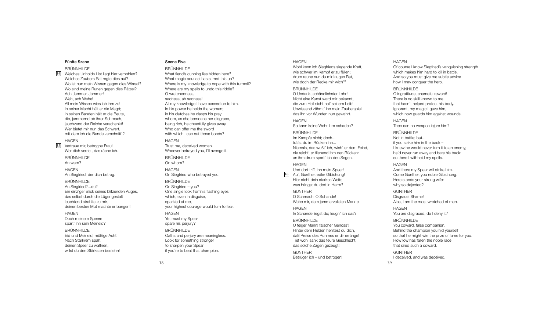#### Fünfte Szene

BRUNNHILDE 14 Welches Unholds List liegt hier verhohlen? l l i l i i l Welches Zaubers Rat regte dies auf? l i Wo ist nun mein Wissen gegen dies Wirrsal? i i i i i Wo sind meine Runen gegen dies Rätsel? i i i l Ach Jammer, Jammer! Weh, ach Wehe! All mein Wissen wies ich ihm zu! l l i i i i i In seiner Macht hält er die Magd; i l i i n seinen Banden hält er die Beute, i l i die, jammernd ob ihrer Schmach, i j i j auchzend der Reiche verschenkt! i Wer bietet mir nun das Schwert, i i mit dem ich die Bande zerschnitt'? i i i i

#### H A G E N

15 Vertraue mir, betrogne Frau! i Wer dich verriet, das räche ich. i i i

> BRUNNHILDE A n w e m ?

H A G E N An Siegfried, der dich betrog. i i i

**BRÜNNHILDE** An Siegfried?...du? i i Ein einz'ger Blick seines blitzenden Auges, i i l i i l i das selbst durch die Lügengestalt l i l l euchtend strahlte zu mir, l i deinen besten Mut machte er bangen! i

H A G E N Doch meinem Speere i spart' ihn sein Meineid? i i i i

**BRÜNNHILDE** Eid und Meineid, müßige Acht! i i i i Nach Stärkrem späh, deinen Speer zu waffnen, i willst du den Stärksten bestehn! i l l

#### Scene Five

l

BRUNNHILDE What fiend's cunning lies hidden here? i i l i i What magic counsel has stirred this up? i l i i Where is my knowledge to cope with this turmoil? i l i i Where are my spells to undo this riddle? l l i i l O wretchedness, sadness, ah sadness! All my knowledge I have passed on to him. l l l i In his power he holds the woman; i l i n his clutches he clasps his prey; i l l i whom, as she bemoans her disgrace, i being rich, he cheerfully gives away. i i l l i Who can offer me the sword with which I can cut those bonds? i i H A G E N Trust me, deceived woman. i Whoever betrayed you, I'll avenge it. l l i BRUNNHILDE O n w h o m ? H A G E N On Siegfried who betrayed you. i i BRÜNNHILDE On Siegfried – you? i i One single look fromhis flashing eyes i l l i l i which, even in disguise, i i i i sparkled at me, l your highest courage would turn to fear. i l H A G E N Yet must my Spear spare his perjury? i BRÜNNHILDE Oaths and perjury are meaningless. i l Look for something stronger i to sharpen your Spear i f you're to beat that champion. i

#### H A G E N

Wohl kenn ich Siegfrieds siegende Kraft, l i i i i wie schwer im Kampf er zu fällen; i i l l drum raune nun du mir klugen Rat, i l wie doch der Recke mir wich'? i i i

## BRUNNHILDE

i l

> O Undank, schändlichster Lohn! l i Nicht eine Kunst ward mir bekannt, i i i die zum Heil nicht half seinem Leib! i i l i l i i Unwissend zähmt' ihn mein Zauberspiel, i i i i l das ihn vor Wunden nun gewahrt. i

H A G E N So kann keine Wehr ihm schaden? i i

BRUNNHILDE Im Kampfe nicht; doch... i träfst du im Rücken ihn... i i Niemals, das wußt' ich, wich' er dem Feind, i l i i i nie reicht' er fliehend ihm den Rücken: i i l i i an ihm drum spart' ich den Segen. i i

H A G E N Und dort trifft ihn mein Speer! i i i

16 Auf, Gunther, edler Gibichung! l i i Hier steht dein starkes Weib; i i i was hängst du dort in Harm? i

**GUNTHER** O Schmach! O Schande! Wehe mir, dem jammervollsten Manne! i j l l

H A G E N In Schande liegst du; leugn' ich das? l i l i

**BRÜNNHILDE** O feiger Mann! falscher Genoss'! i l Hinter dem Helden hehltest du dich, i l l i daß Preise des Ruhmes er dir erränge! i i Tief wohl sank das teure Geschlecht, i l l das solche Zagen gezeugt! l

G U N T H E R Betrüger ich – und betrogen! i

## H A G E N

Of course I know Siegfried's vanquishing strength i i i i which makes him hard to kill in battle. i i i l l i l And so you must give me subtle advice i l i how I may conquer the hero.

BRUNNHILDE

O ingratitude, shameful reward! i i l There is no skill known to me i i l l that hasn't helped protect his body. l i Ignorant, my magic I gave him, i i which now guards him against wounds. i i i H A G E N

Then can no weapon injure him? i j i

BRUNNHILDE Not in battle; but... i l i f you strike him in the back – i i i I knew he would never turn it to an enemy, l i he'd never run away and bare his back: i so there I withheld my spells. i l l l

## H A G E N

And there my Spear will strike him. i l l i i Come Gunther, you noble Gibichung. l i i Here stands your strong wife: i why so dejected?

G U N T H E R Disgrace! Shame! i

Alas, I am the most wretched of men. l

H A G E N

You are disgraced, do I deny it? i i

#### BRÜNNHILDE

3 9

You coward, false companion. l i Behind the champion you hid yourself i i i l so that he might win the prize of fame for you. i i i How low has fallen the noble race l l l l that sired such a coward. i

G U N T H E R I deceived, and was deceived. i i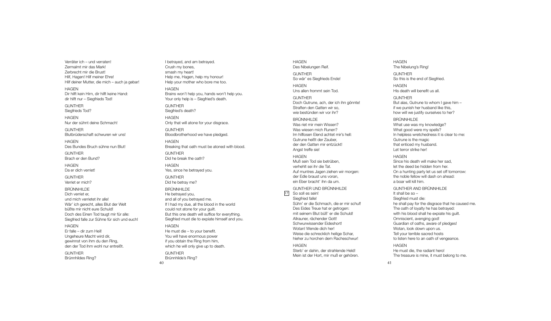Verräter ich – und verraten! i Zermalmt mir das Mark! l i Zerbrecht mir die Brust! i i Hilf, Hagen! Hilf meiner Ehre! i l i l i Hilf deiner Mutter, die mich - auch ja gebar! i l i i i j H A G E N Dir hilft kein Hirn, dir hilft keine Hand: i i l i i i i l i dir hilft nur – Siegfrieds Tod! i i l i i **GUNTHER** Siegfrieds Tod? i i H A G E N Nur der sühnt deine Schmach! i G U N T H E R Blutbrüderschaft schwuren wir uns! l i H A G E N Des Bundes Bruch sühne nun Blut! l G U N T H E R Brach er den Bund? H A G E N Da er dich verriet! i i G U N T H E R Verriet er mich? i i **BRÜNNHILDE** Dich verriet er, i i und mich verrietet ihr alle! i i i l l Wär' ich gerecht, alles Blut der Welt i l l l l büßte mir nicht eure Schuld! i i l Doch des Einen Tod taugt mir für alle: i i l l Siegfried falle zur Sühne für sich und euch! i i l l i H A G E N Er falle – dir zum Heil! l l i i l Ungeheure Macht wird dir, i i gewinnst von ihm du den Ring, i i i den der Tod ihm wohl nur entreißt. i l i **GUNTHER** Brünnhildes Ring? i l i

4 0 I betrayed, and am betrayed. Crush my bones, smash my heart! Help me, Hagen, help my honour! l l Help your mother who bore me too. l H A G E N Brains won't help you, hands won't help you. i l l Your only help is – Siegfried's death. l l i i i G U N T H E R Siegfried's death? i i H A G E N Only that will atone for your disgrace. l i l l i G U N T H E R Bloodbrotherhood we have pledged. l l H A G E N Breaking that oath must be atoned with blood. i i l G U N T H E R Did he break the oath? i H A G E N Yes, since he betrayed you. i G U N T H E R Did he betray me? i BRÜNNHILDE He betrayed you, and all of you betrayed me. l l If I had my due, all the blood in the world l l l i l could not atone for your guilt. l i l But this one death will suffice for everything. i i l l i i Siegfried must die to expiate himself and you. i i i i i l H A G E N He must die – to your benefit. i i You will have enormous power i l l i f you obtain the Ring from him, i i i which he will only give up to death. i i l l l i G U N T H E R Brünnhilde's Ring? i l i

H A G E N Des Nibelungen Reif. i l i G U N T H E R So wär' es Siegfrieds Ende! i i H A G E N Uns allen frommt sein Tod. l l i G U N T H E R Doch Gutrune, ach, der ich ihn gönnte! i i Straften den Gatten wir so, i wie bestünden wir vor ihr? i i i BRUNNHILDE Was riet mir mein Wissen? i i i i Was wiesen mich Runen? i i Im hilflosen Elend achtet mir's hell: i l l l i l l Gutrune heißt der Zauber, i der den Gatten mir entzückt! i Angst treffe sie! i H A G E N Muß sein Tod sie betrüben, i i verhehlt sei ihr die Tat. l i i i Auf muntres Jagen ziehen wir morgen: i i der Edle braust uns voran, l ein Eber bracht' ihn da um. i i GUNTHER UND BRUNNHILDE 17 So soll es sein! l l i Siegfried falle! i i l l Sühn' er die Schmach, die er mir schuf! i i i Des Eides Treue hat er getrogen: i mit seinem Blut büß' er die Schuld! i i l i l Allrauner, rächender Gott! l l Schwurwissender Eideshort! i i Wotan! Wende dich her! i Weise die schrecklich heilige Schar, i i l i i l i hieher zu horchen dem Racheschwur! i H A G E N Sterb' er dahin, der strahlende Held! i l l Mein ist der Hort, mir muß er gehören. i i i

H A G E N The Nibelung's Ring! i l i G U N T H E R So this is the end of Siegfried. i i i i H A G E N His death will benefit us all. i l l i l l G U N T H E R But alas, Gutrune to whom I gave him – l i f we punish her husband like this, i l i i how will we justify ourselves to her? i l l j i l BRUNNHILDE

i

i

What use was my knowledge? l What good were my spells? l l In helpless wretchedness it is clear to me: l l i i l Gutrune is the magic i i that enticed my husband. i Let terror strike her! i

H A G E N Since his death will make her sad, i i i l l l et the deed be hidden from her. i On a hunting party let us set off tomorrow: i l the noble fellow will dash on ahead: l l l i l l a boar will kill him. i l l i l l i

GUNTHER AND BRUNNHILDE I t s h a b e s o – l l Siegfried must die: i i i he shall pay for the disgrace that he caused me. l l i The oath of loyalty he has betrayed: l l with his blood shall he expiate his guilt. i i l l l i i i l Omniscient, avenging god! i i i Guardian of oaths, aware of pledges! i l Wotan, look down upon us. l Tell your terrible sacred hosts l l i l to listen here to an oath of vengeance. l i H A G E N He must die, the radiant hero! i i The treasure is mine, it must belong to me. i i i l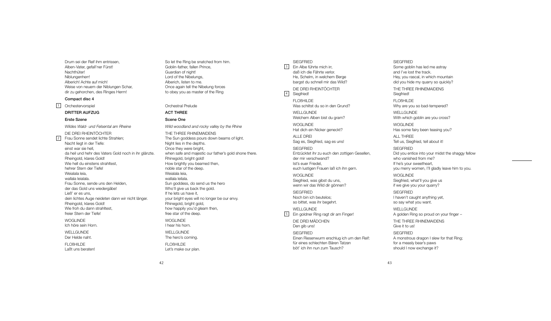Drum sei der Reif ihm entrissen, Alben-Vater, gefall'ner Fürst! Nachthüter! Niblungenherr! Alberich! Achte auf mich! Weise von neuem der Niblungen Schar, dir zu gehorchen, des Ringes Herrn!

## Compact disc 4

1 Orchestervorspiel

DRITTER AUFZUG

#### Erste Szene

*Wildes Wald- und Felsental am Rheine* DIE DREI RHEINTÖCHTER 2 Frau Sonne sendet lichte Strahlen; Nacht liegt in der Tiefe: einst war sie hell, da heil und hehr des Vaters Gold noch in ihr glänzte. Rheingold, klares Gold! Wie hell du einstens strahltest, hehrer Stern der Tiefe! Weialala leia, wallala leialala. Frau Sonne, sende uns den Helden, der das Gold uns wiedergäbe! Ließ' er es uns, dein lichtes Auge neideten dann wir nicht länger. Rheingold, klares Gold! Wie froh du dann strahltest, freier Stern der Tiefe! WOGLINDE Ich höre sein Horn. WELLGLINDE Der Helde naht. FLOßHILDE Laßt uns beraten!

So let the Ring be snatched from him. Goblin-father, fallen Prince, Guardian of night! Lord of the Nibelungs, Alberich, listen to me. Once again tell the Nibelung forces to obey you as master of the Ring

Orchestral Prelude

## ACT THREE

## Scene One

*Wild woodland and rocky valley by the Rhine* THE THREE RHINEMAIDENS The Sun goddess pours down beams of light. Night lies in the depths. Once they were bright, when safe and majestic our father's gold shone there. Rhinegold, bright gold! How brightly you beamed then, noble star of the deep. Weialala leia, wallala leilala. Sun goddess, do send us the hero Who'll give us back the gold. If he lets us have it, your bright eyes will no longer be our envy. Rhinegold, bright gold, how happily you'd gleam then, free star of the deep. WOGLINDE I hear his horn. WELLGUNDE The hero's coming. FLOßHILDE Let's make our plan.

SIEGFRIED Ein Albe führte mich irr, 3 daß ich die Fährte verlor. He, Schelm, in welchem Berge bargst du schnell mir das Wild? DIE DREI RHEINTÖCHTER

4 Siegfried! FLOßHILDE Was schiltst du so in den Grund?

WELL GUNDE Welchem Alben bist du gram?

**WOGLINDE** Hat dich ein Nicker geneckt?

ALLE DREI Sag es, Siegfried, sag es uns!

**SIEGERIED** Entzücktet ihr zu euch den zottigen Gesellen, der mir verschwand? Ist's euer Friedel, euch lustigen Frauen laß ich ihn gern.

WOGLINDE Siegfried, was gibst du uns, wenn wir das Wild dir gönnen?

SIEGFRIED Noch bin ich beutelos; so bittet, was ihr begehrt.

WELLGUNDE 5 Ein goldner Ring ragt dir am Finger!

DIE DREI MÄDCHEN Den gib uns! **SIEGERIED** Einen Riesenwurm erschlug ich um den Reif:

für eines schlechten Bären Tatzen böt' ich ihn nun zum Tausch?

and I've lost the track. Hey, you rascal, in which mountain did you hide my quarry so quickly? THE THREE RHINEMAIDENS Siegfried! FLOBHILDE Why are you so bad-tempered? WELL GUNDE With which goblin are you cross? WOGLINDE Has some fairy been teasing you? ALL THREE

Some goblin has led me astray

**SIEGFRIED** 

Tell us, Siegfried, tell about it! **SIEGERIED** Did you entice into your midst the shaggy fellow who vanished from me? If he's your sweetheart, you merry women, I'll gladly leave him to you. WOGLINDE Siegfried, what'll you give us if we give you your quarry? SIEGFRIED I haven't caught anything yet, so say what you want. WELL GUNDE

A golden Ring so proud on your finger – THE THREE RHINEMAIDENS Give it to us! **SIEGERIED** A monstrous dragon I slew for that Ring;

for a measly bear's paws should I now exchange it?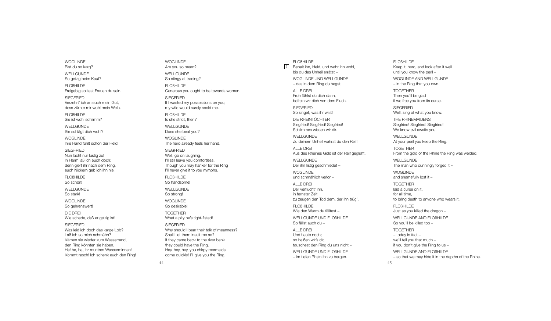WOGLINDE Bist du so karg? i

WELLGUNDE So geizig beim Kauf? i i i

**FLOBHILDE** Freigebig solltest Frauen du sein. i i l l i

SIEGFRIED Verzehrt' ich an euch mein Gut, i i dess zürnte mir wohl mein Weib. i l i i

**FLOBHILDE** Sie ist wohl schlimm? i i l l i

WELLGUNDE Sie schlägt dich wohl? i l i l

WOGLINDE Ihre Hand fühlt schon der Held! l l

**SIEGFRIED** Nun lacht nur lustig zu! l l i In Harm laß ich euch doch: l i denn giert ihr nach dem Ring, i i i euch Nickern geb ich ihn nie! i i i i

**FLOBHILDE** So schön!

WELLGUNDE So stark!

WOGLINDE So gehrenswert!

DIE DREI Wie schade, daß er geizig ist! i i i i

**SIEGFRIED** 

Was leid ich doch das karge Lob? l i i Laß ich so mich schmähn? i i Kämen sie wieder zum Wasserrand, i i den Ring könnten sie haben. i i He! he, he, ihr muntren Wasserminnen! i i Kommt rasch! Ich schenk euch den Ring! i

WOGLINDE Are you so mean? WELLGUNDE So stingy at trading? i i **FLOBHILDE** Generous you ought to be towards women. SIEGFRIED If I wasted my possessions on you, i my wife would surely scold me. i l l l **FLOBHILDE** ls she strict, then? i WELLGUNDE Does she beat you? WOGLINDE The hero already feels her hand. l l SIEGFRIED Well, go on laughing. l l l i I'll still leave you comfortless. l l i l l l l Though you may hanker for the Ring i I'll never give it to you nymphs. l l i i **FLOBHILDE** So handsome! WELLGUNDE So strong! WOGLINDE So desirable! i l TOGETHER What a pity he's tight-fisted! i i i SIEGFRIED Why should I bear their talk of meanness? l i l Shall I let them insult me so? l l l i l If they came back to the river bank i they could have the Ring. l i Hey, hey, hey, you chirpy mermaids, i i come quickly! I'll give you the Ring. i l l l i i

**FLOBHILDE** 6 Behalt ihn, Held, und wahr ihn wohl, l i l i bis du das Unheil errätst – i i l

WOGLINDE UND WELLGUNDE – das in dem Ring du hegst. i i

l

ALLE DREI Froh fühlst du dich dann, l i befrein wir dich von dem Fluch. i i i l

SIEGFRIED So singet, was ihr wißt! i i

DIE RHEINTOCHTER Siegfried! Siegfried! Siegfried! i i i i i i Schlimmes wissen wir dir. l i i i i

WELLGUNDE Zu deinem Unheil wahrst du den Reif! i i l i

ALLE DREI Aus des Rheines Gold ist der Reif geglüht. i l i i l WELLGUNDE Der ihn listig geschmiedet i l i i i

i

WOGLINDE und schmählich verlor – l i l

A L L E D R E I Der verflucht' ihn, l i i n fernster Zeit i zu zeugen den Tod dem, der ihn trüg'. i

**FLOBHILDE** Wie den Wurm du fälltest – i l l WELLGUNDE UND FLOßHILDE

So fällst auch du l l A L L E D R E I

Und heute noch; so heißen wir's dir, i i i tauschest den Ring du uns nicht – i

WELLGUNDE UND FLOßHILDE – im tiefen Rhein ihn zu bergen. i i i i

i

FLOBHILDE Keep it, hero, and look after it we i l i l l until you know the peril – i l i l WOGLINDE AND WELLGUNDE – in the Ring that you own. i i TOGETHER Then you'll be glad l l l i f we free you from its curse. i SIEGFRIED Well, sing of what you know. l l i THE RHINEMAIDENS Siegfried! Siegfried! Siegfried! i i i i i i We know evil awaits you. i l i WELLGUNDE At your peril you keep the Ring. i l i TOGETHER From the gold of the Rhine the Ring was welded. l i i WELLGUNDE The man who cunningly forged it i l i WOGLINDE and shamefully lost it – l l l i TOGETHER l a d a c u r s e o n t , i i

for all time, l l i to bring death to anyone who wears it. i i FLOBHILDE Just as you killed the dragon – i l l WELLGUNDE AND FLOBHILDE So you'll be killed too – l l i l l TOGETHER – today in fact – i we'll tell you that much l l l l f you don't give the Ring to us – i i

l

WELLGUNDE AND FLOBHILDE - so that we may hide it in the depths of the Rhine. i i i i

4 5

i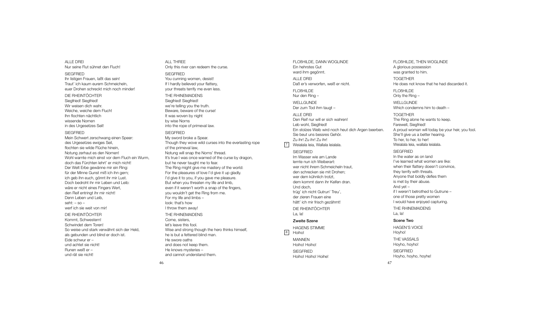## ALLE DREI Nur seine Flut sühnet den Fluch!

**SIEGERIED** Ihr listigen Frauen, laßt das sein! Traut' ich kaum eurem Schmeicheln, euer Drohen schreckt mich noch minder!

DIE RHEINTÖCHTER

Siegfried! Siegfried! Wir weisen dich wahr. Weiche, weiche dem Fluch! Ihn flochten nächtlich wissende Nornen in des Urgesetzes Seil!

#### SIEGFRIED

Mein Schwert zerschwang einen Speer: des Urgesetzes ewiges Seil, flochten sie wilde Flüche hinein, Notung zerhaut es den Nornen! Wohl warnte mich einst vor dem Fluch ein Wurm, doch das Fürchten lehrt' er mich nicht! Der Welt Erbe gewänne mir ein Ring: für der Minne Gunst miß ich ihn gern; ich geb ihn euch, gönnt ihr mir Lust. Doch bedroht ihr mir Leben und Leib: wäre er nicht eines Fingers Wert, den Reif entringt ihr mir nicht! Denn Leben und Leib, seht:  $-$  so  $$ werf ich sie weit von mir!

#### DIE RHEINTÖCHTER

Kommt, Schwestern! Schwindet dem Toren! So weise und stark verwähnt sich der Held, als gebunden und blind er doch ist. Eide schwur er – und achtet sie nicht! Runen weiß er – und rät sie nicht!

## ALL THREE Only this river can redeem the curse. **SIEGFRIED** You cunning women, desist! If I hardly believed your flattery, your threats terrify me even less. THE RHINEMAIDENS Siegfried! Siegfried! we're telling you the truth. Beware, beware of the cursel It was woven by night by wise Norns into the rope of primeval law. **SIEGERIED** My sword broke a Spear. Though they wove wild curses into the everlasting rope of the primeval law, Notung will snap the Norns' thread. It's true I was once warned of the curse by dragon, but he never taught me to fear. The Ring might give me mastery of the world: For the pleasures of love I'd give it up gladly. I'd give it to you, if you gave me pleasure. But when you threaten my life and limb, even if it weren't worth a snap of the fingers, you wouldn't get the Ring from me. For my life and limbs – look: that's how I throw them away! THE RHINEMAIDENS Come, sisters, let's leave this fool. Wise and strong though the hero thinks himself, he is but a fettered blind man. He swore oaths and does not keep them.

FLOßHILDE, DANN WOGLINDE Ein hehrstes Gut ward ihm gegönnt. ALLE DREI Daß er's verworfen, weiß er nicht. FLOßHILDE Nur den Ring – WELLGUNDE Der zum Tod ihm taugt – ALLE DREI Den Reif nur will er sich wahren! Leb wohl, Siegfried! Ein stolzes Weib wird noch heut dich Argen beerben. Sie beut uns bessres Gehör. Zu ihr! Zu ihr! Zu ihr! Weialala leia, Wallala leialala. SIEGFRIED Im Wasser wie am Lande lernte nun ich Weiberart: wer nicht ihrem Schmeicheln traut, den schrecken sie mit Drohen; wer dem kühnlich trotzt, dem kommt dann ihr Keifen dran. Und doch, trüg' ich nicht Gutrun' Treu', der zieren Frauen eine hätt' ich mir frisch gezähmt! DIE RHEINTÖCHTER La, la! Zweite Szene HAGENS STIMME 8 Hoiho! **MANNEN** Hoiho! Hoiho!  $\sqrt{7}$ 

## FLOßHILDE, THEN WOGLINDE A glorious possession was granted to him. TOGETHER He does not know that he had discarded it. FLOßHILDE Only the Ring – WELL GUNDE

Which condemns him to death – TOGETHER The Ring alone he wants to keep.

Farewell, Siegfried! A proud woman will today be your heir, you fool. She'll give us a better hearing. To her, to her, to her! Weialala leia, wallala leialala.

## **SIEGERIED**

In the water as on land I've learned what women are like: when their flattery doesn't convince, they terrify with threats. Anyone that boldly defies them is met by their abuse. And yet – if I weren't betrothed to Gutrune – one of those pretty women I would have enjoyed capturing.

THE RHINEMAIDENS La, la!

## Scene Two

47

HAGEN'S VOICE Hoyho! THE VASSALS Hoyho, hoyho! **SIEGERIED** 

Hoyho, hoyho, hoyhe!

SIEGFRIED Hoiho! Hoiho! Hoihe!

46

He knows mysteries – and cannot understand them.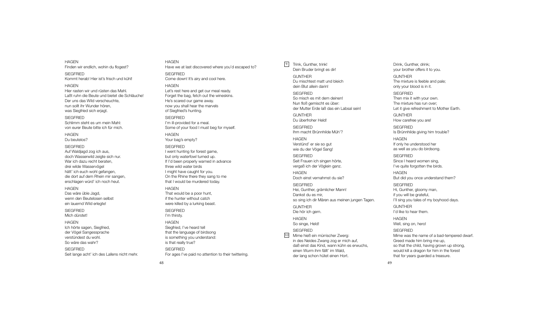Finden wir endlich, wohin du flogest? **SIEGERIED** Kommt herab! Hier ist's frisch und kühl! **HAGEN** Hier rasten wir und rüsten das Mahl. Laßt ruhn die Beute und bietet die Schläuche! Der uns das Wild verscheuchte, nun sollt ihr Wunder hören, was Siegfried sich erjagt. **SIEGERIED** Schlimm steht es um mein Mahl: von eurer Beute bitte ich für mich. HAGEN Du beutelos? **SIEGERIED** Auf Waldjagd zog ich aus, doch Wasserwild zeigte sich nur. War ich dazu recht beraten, drei wilde Wasservögel hätt' ich euch wohl gefangen, die dort auf dem Rhein mir sangen, erschlagen würd' ich noch heut. **HAGEN** Das wäre üble Jagd, wenn den Beutelosen selbst ein lauernd Wild erlegte! SIEGFRIED Mich dürstet!

HAGEN Ich hörte sagen, Siegfried, der Vögel Sangessprache verstündest du wohl. So wäre das wahr?

HAGEN

**SIEGERIED** Seit lange acht' ich des Lallens nicht mehr. HAGEN Have we at last discovered where you'd escaped to? **SIEGERIED** Come down! It's airy and cool here. HAGEN Let's rest here and get our meal ready. Forget the bag, fetch out the wineskins. He's scared our game away. now you shall hear the marvels of Siegfried's hunting. **SIEGFRIED** I'm ill-provided for a meal. Some of your food I must beg for myself. HAGEN Your bag's empty? **SIEGFRIED** I went hunting for forest game, but only waterfowl turned up. If I'd been properly warned in advance three wild water birds I might have caught for you. On the Rhine there they sang to me that I would be murdered today. **HAGEN** That would be a poor hunt, if the hunter without catch were killed by a lurking beast. **SIEGFRIED** I'm thirsty. HAGEN Siegfried, I've heard tell that the language of birdsong is something you understand: is that really true?

For ages I've paid no attention to their twittering.

Dein Bruder bringt es dir! **GUNTHER** Du mischtest matt und bleich dein Blut allein darin! SIEGFRIED So misch es mit dem deinen! Nun floß gemischt es über: der Mutter Erde laß das ein Labsal sein! GUNTHER Du überfroher Held! SIEGFRIED Ihm macht Brünnhilde Müh'? **HAGEN** Verstünd' er sie so gut wie du der Vögel Sang! SIEGFRIED Seit Frauen ich singen hörte, vergaß ich der Vöglein ganz. HAGEN Doch einst vernahmst du sie? SIEGFRIED Hei, Gunther, grämlicher Mann! Dankst du es mir, so sing ich dir Mären aus meinen jungen Tagen. GUNTHER Die hör ich gern. HAGEN So singe, Held! SIEGFRIED Mime hieß ein mürrischer Zwerg: in des Neides Zwang zog er mich auf, daß einst das Kind, wann kühn es erwuchs, einen Wurm ihm fällt' im Wald, 10

der lang schon hütet einen Hort.

9 Trink, Gunther, trink!

Drink, Gunther, drink; your brother offers it to you. GUNTHER The mixture is feeble and pale; only your blood is in it. **SIEGERIED** Then mix it with your own. The mixture has run over; Let it give refreshment to Mother Earth. GUNTHER How carefree you are! **SIEGERIED** Is Brünnhilde giving him trouble? HAGEN If only he understood her as well as you do birdsong. SIEGFRIED Since I heard women sing, I've quite forgotten the birds. HAGEN But did you once understand them? **SIEGERIED** Hi, Gunther, gloomy man, if you will be grateful, I'll sing you tales of my boyhood days. GUNTHER I'd like to hear them. HAGEN Well, sing on, hero! SIEGFRIED Mime was the name of a bad-tempered dwarf. Greed made him bring me up, so that the child, having grown up strong, would kill a dragon for him in the forest

that for years guarded a treasure.

49

**SIEGFRIED**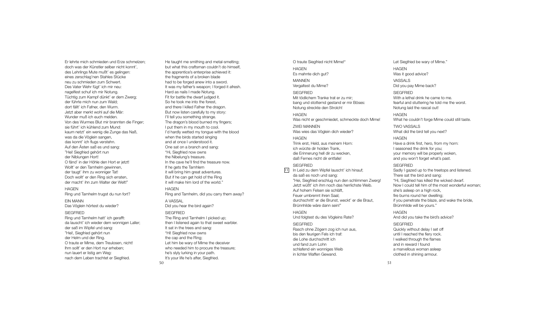Er lehrte mich schmieden und Erze schmelzen; doch was der Künstler selber nicht konnt', des Lehrlings Mute mußt' es gelingen: eines zerschlag'nen Stahles Stücke neu zu schmieden zum Schwert. Des Vater Wehr fügt' ich mir neu: nagelfest schuf ich mir Notung. Tüchtig zum Kampf dünkt' er dem Zwerg; der führte mich nun zum Wald; dort fällt' ich Fafner, den Wurm. Jetzt aber merkt wohl auf die Mär: Wunder muß ich euch melden. Von des Wurmes Blut mir brannten die Finger; sie führt' ich kühlend zum Mund: kaum netzt' ein wenig die Zunge das Naß, was da die Vöglein sangen, das konnt' ich flugs verstehn. Auf den Ästen saß es und sang: "Hei! Siegfried gehört nun der Niblungen Hort! O fänd' in der Höhle den Hort er jetzt! Wollt' er den Tarnhelm gewinnen, der taugt' ihm zu wonniger Tat! Doch wollt' er den Ring sich erraten, der macht' ihn zum Walter der Welt!"

## HAGEN

Ring und Tarnhelm trugst du nun fort?

EIN MANN Das Vöglein hörtest du wieder?

#### **SIEGERIED**

Ring und Tarnhelm hatt' ich gerafft: da lauscht' ich wieder dem wonnigen Laller; der saß im Wipfel und sang: "Hei!, Siegfried gehört nun der Helm und der Ring. O traute er Mime, dem Treulosen, nicht! Ihm sollt' er den Hort nur erheben; nun lauert er listig am Weg: nach dem Leben trachtet er Siegfried.

50

He taught me smithing and metal-smelting; but what this craftsman couldn't do himself, the apprentice's enterprise achieved it: the fragments of a broken blade had to be forged anew into a sword. It was my father's weapon; I forged it afresh. Hard as nails I made Notung. Fit for battle the dwarf judged it. So he took me into the forest, and there I killed Fafner the dragon. But now listen carefully to my story: I'll tell you something strange. The dragon's blood burned my fingers; I put them in my mouth to cool. I'd hardly wetted my tongue with the blood when the birds started singing and at once I understood it. One sat on a branch and sang: "Hi, Siegfried now owns the Nibelung's treasure. In the cave he'll find the treasure now. If he gets the Tarnhlem it will bring him great adventures. But if he can get hold of the Ring it will make him lord of the world." HAGEN Ring and Tarnhelm, did you carry them away? A VASSAL Did you hear the bird again? **SIEGERIED** The Ring and Tarnhelm I picked up; then I listened again to that sweet warbler. It sat in the trees and sang: "Hi! Siegfried now owns the cap and the Ring; Let him be wary of Mime the deceiver who needed him to procure the treasure; he's slyly lurking in your path. It's your life he's after, Siegfried.

O traute Siegfried nicht Mime!" HAGEN Es mahnte dich gut? MANNEN Vergaltest du Mime? SIEGFRIED Mit tödlichem Tranke trat er zu mir; bang und stotternd gestand er mir Böses: Notung streckte den Strolch! **HAGEN** Was nicht er geschmiedet, schmeckte doch Mime! ZWEI MANNEN Was wies das Vöglein dich wieder? HAGEN Trink erst, Held, aus meinem Horn: ich würzte dir holden Trank, die Erinnerung hell dir zu wecken, daß Fernes nicht dir entfalle! SIEGFRIED

11 In Leid zu dem Wipfel lauscht' ich hinauf; da saß es noch und sang: "Hei, Siegfried erschlug nun den schlimmen Zwerg! Jetzt wüßt' ich ihm noch das herrlichste Weib. Auf hohem Felsen sie schläft, Feuer umbrennt ihren Saal; durchschritt' er die Brunst, weckt' er die Braut, Brünnhilde wäre dann sein!"

#### HAGEN

Und folgtest du des Vögleins Rate?

#### SIEGFRIED

Rasch ohne Zögern zog ich nun aus, bis den feurigen Fels ich traf: die Lohe durchschritt ich und fand zum Lohn schlafend ein wonniges Weib in lichter Waffen Gewand.

HAGEN Was it good advice? VASSALS Did you pay Mime back? **SIEGERIED** With a lethal drink he came to me. fearful and stuttering he told me the worst. Notung laid the rascal out! HAGEN

Let Siegfried be wary of Mime."

What he couldn't forge Mime could still taste. TWO VASSALS What did the bird tell you next?

**HAGEN** Have a drink first, hero, from my horn:

I seasoned the drink for you; your memory will be properly woken, and you won't forget what's past.

#### SIEGFRIED

Sadly I gazed up to the treetops and listened. There sat the bird and sang: "Hi, Siegfried has killed the wicked dwarf. Now I could tell him of the most wonderful woman; she's asleep on a high rock, fire burns round her dwelling; if you penetrate the blaze, and wake the bride, Brünnhilde will be yours."

#### **HAGEN**

And did you take the bird's advice?

## **SIEGERIED**

Quickly without delay I set off until I reached the fiery rock. I walked through the flames and in reward I found a marvellous woman asleep clothed in shining armour.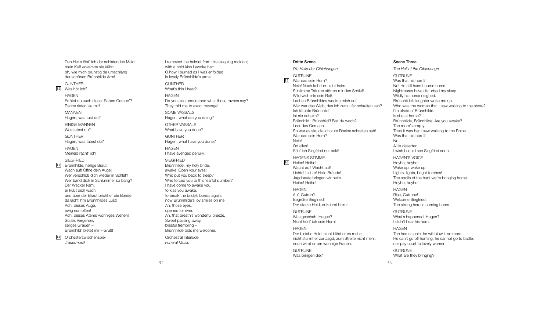Den Helm löst' ich der schlafenden Maid; l l i l i mein Kuß erweckte sie kühn: i i oh, wie mich brünstig da umschlang i i i l der schönen Brünnhilde Arm! i l

G U N T H E R 12 Was hör ich? i

> H A G E N Errätst du auch dieser Raben Geraun'? i Rache rieten sie mir! i i i

MANNEN Hagen, was tust du?

EINIGE MANNEN Was tatest du?

G U N T H E R Hagen, was tatest du?

H A G E N Meineid rächt' ich! i i i

**SIEGFRIED** 13 Brünnhilde, heilige Braut! i l i l i Wach auf! Öffne dein Auge! i Wer verschloß dich wieder in Schlaf? l i i i l Wer band dich in Schlummer so bang? i i l Der Wecker kam; er küßt dich wach, i und aber der Braut bricht er die Bande: i i da lacht ihm Brünnhildes Lust! l i i l Ach, dieses Auge, i ewig nun offen! i Ach, dieses Atems wonniges Wehen! i i Süßes Vergehen, seliges Grauen l i Brünnhild' bietet mir - Gruß! i l i i

14 Orchesterzwischenspie i i l *Tra u e rm u s ik*

I removed the helmet from this sleeping maiden; l i l i i with a bold kiss I awoke her: i l i O how I burned as I was enfolded l i n lovely Brünnhilde's arms. l l i l G U N T H E R What's this I hear? i H A G E N Do you also understand what those ravens say? l They told me to exact revenge! l SOME VASSALS Hagen, what are you doing? i OTHER VASSALS What have you done? G U N T H E R Hagen, what have you done? H A G E N I have avenged perjury. SIEGFRIED Brünnhilde, my holy bride, i l l i awake! Open your eyes! Who put you back to sleep? l Who forced you to this fearful slumber? i l l I have come to awake you, to kiss you awake, i to break the bride's bonds again; i i now Brünnhilde's joy smiles on me. i l j i l Ah, those eyes, opened for ever. Ah, that breath's wonderful breeze. l Sweet passing away, i blissful trembling – l i l l i Brünnhilde bids me welcome. i l i l

Orchestral interlude l i l *Fu n e ra M u s icl*

#### Dritte Szene

*D ie Ha lle de r G ib ic h u n g e n* GUTRUNE 15 War das sein Horn? i Nein! Noch kehrt er nicht heim. i i i Schlimme Träume störten mir den Schlaf! l i i l Wild wieherte sein Roß; i l i i Lachen Brünnhildes weckte mich auf. i l i Wer war das Weib, das ich zum Ufer schreiten sah? i i i lch fürchte Brünnhild'! i l lst sie daheim? i i Brünnhild'! Brünnhild'! Bist du wach? i l i l i Leer das Gemach. So war es sie, die ich zum Rheine schreiten sah! i i i i i War das sein Horn? i Nein! i Öd alles! l l Säh' ich Siegfried nur bald! i i i l

#### HAGENS STIMME

1 6

Hoiho! Hoiho! i i Wacht auf! Wacht auf! Lichte! Lichte! Helle Brände! i i l l Jagdbeute bringen wir heim. i i i Hoiho! Hoiho! i i

H A G E N Auf, Gutrun'! Begrüße Siegfried! i i Der starke Held, er kehret heim! l

**GUTRUNE** Was geschah, Hagen? Nicht hört' ich sein Horn! i i i

## H A G E N

Der bleiche Held, nicht bläst er es mehr; l i l i l nicht stürmt er zur Jagd, zum Streite nicht mehr, i i i noch wirbt er um wonnige Frauen. i i

i

#### **GUTRUNE** Was bringen die? i i

Scene Three

*Th e Ha ll o f th e G ib ic h u n g s* GUTRUNE Was that his horn? i No! He still hasn't come home. i l l Nightmares have disturbed my sleep. i i l Wildly his horse neighed. i l l i i Brünnhilde's laughter woke me up. i l l Who was the woman that I saw walking to the shore? l i I'm afraid of Brünnhilde. i i l Is she at home? Brünnhilde, Brünnhilde! Are you awake? i l i l The room's empty. Then it was her I saw walking to the Rhine. i l i i Was that his horn? i N o . All is deserted. l l i I wish I could see Siegfried soon. i l i i HAGEN'S VOICE Hoyho, hoyho! Wake up, wake up! Lights. lights, bright torches! i l i i The spoils of the hunt we're bringing home. i l i i Hoyho, hoyho! H A G E N Rise, Gutrune! i Welcome Siegfried. l i i The strong hero is coming home. i i GUTRUNE What's happened, Hagen? I didn't hear his horn. i i H A G E N The hero is pale; he will blow it no more. i l i l l l i He can't go off hunting, he cannot go to battle, i l

nor pay court to lovely women. l l GUTRUNE What are they bringing? i i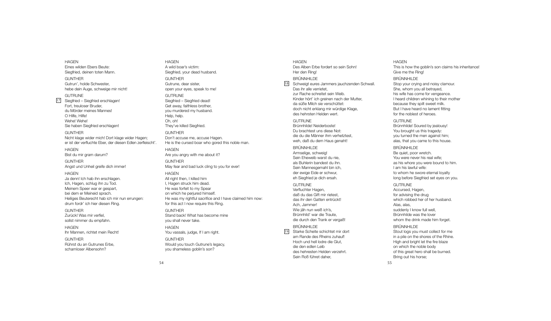Eines wilden Ebers Beute: Siegfried, deinen toten Mann. **GUNTHER** Gutrun', holde Schwester, hebe dein Auge, schweige mir nicht! GUTRUNE 17 Siegfried - Siegfried erschlagen! Fort, treuloser Bruder,

HAGEN

du Mörder meines Mannes!  $\cap$  Hilfe, Hilfel Wehe! Wehe! Sie haben Siegfried erschlagen!

**GUNTHER** Nicht klage wider mich! Dort klage wider Hagen; er ist der verfluchte Eber, der diesen Edlen zerfleischt'.

HAGEN Bist du mir gram darum?

**GUNTHER** Angst und Unheil greife dich immer!

**HAGEN** Ja denn! Ich hab ihn erschlagen. Ich, Hagen, schlug ihn zu Tod. Meinem Speer war er gespart, bei dem er Meineid sprach. Heiliges Beuterecht hab ich mir nun errungen: drum fordr' ich hier diesen Ring.

GUNTHER Zurück! Was mir verfiel, sollst nimmer du empfahn.

**HAGEN** Ihr Mannen, richtet mein Recht!

GUNTHER Rührst du an Gutrunes Erbe, schamloser Albensohn?

HAGEN A wild boar's victim: Siegfried, your dead husband. GUNTHER Gutrune, dear sister, open your eyes, speak to me! GUTRUNE Siegfried – Siegfried dead! Get away, faithless brother, you murdered my husband. Help, help. Oh, oh! They've killed Siegfried. **GUNTHER** Don't accuse me, accuse Hagen. He is the cursed boar who gored this noble man. **HAGEN** Are you angry with me about it? **GUNTHER** May fear and bad luck cling to you for ever! **HAGEN** All right then, I killed him I, Hagen struck him dead. He was forfeit to my Spear on which he perjured himself. He was my rightful sacrifice and I have claimed him now: for this act I now require this Ring. GUNTHER Stand back! What has become mine you shall never take. HAGEN You vassals, judge, If I am right. **GUNTHER** 

Would you touch Gutrune's legacy, you shameless goblin's son?

54

**HAGEN** Des Alben Erbe fordert so sein Sohn! Her den Ring! BRÜNNHILDE 18 Schweigt eures Jammers jauchzenden Schwall. Das ihr alle verrietet, zur Rache schreitet sein Weib. Kinder hört' ich greinen nach der Mutter, da süße Milch sie verschüttet: doch nicht erklang mir würdige Klage, des hehrsten Helden wert.

**GUTRUNE** Brünnhilde! Neiderboste! Du brachtest uns diese Not: die du die Männer ihm verhetztest, weh, daß du dem Haus genaht!

BRÜNNHILDE Armselige, schweig! Sein Eheweib warst du nie, als Buhlerin bandest du ihn. Sein Mannesgemahl bin ich, der ewige Eide er schwur, eh Siegfried je dich ersah.

**GUTRUNE** Verfluchter Hagen, daß du das Gift mir rietest, das ihr den Gatten entrückt! Ach, Jammer! Wie jäh nun weiß ich's, Brünnhild' war die Traute, die durch den Trank er vergaß!

BRÜNNHILDE

19 Starke Scheite schichtet mir dort am Rande des Rheins zuhauf! Hoch und hell lodre die Glut, die den edlen Leib des hehresten Helden verzehrt. Sein Roß führet daher,

#### HAGEN

This is how the goblin's son claims his inheritance! Give me the Ring!

## BRÜNNHILDE

Stop your crying and noisy clamour. She, whom you all betrayed, his wife has come for vengeance. I heard children whining to their mother because they spilt sweet milk. But I have heard no lament fitting for the noblest of heroes.

#### **GUTRUNE**

Brünnhilde! Soured by jealousy! You brought us this tragedy: you turned the men against him; alas, that you came to this house.

#### BRÜNNHILDE

Be quiet, poor wretch. You were never his real wife; as his whore you were bound to him. I am his lawful wife: to whom he swore eternal loyalty long before Siegfried set eyes on you.

## GUTRUNE

Accursed, Hagen, for advising the drug which robbed her of her husband. Alas, alas, suddenly I know full well. Brünnhilde was the lover whom the drink made him forget.

## BRÜNNHILDE

55

Stout logs you must collect for me in a pile on the shores of the Rhine. High and bright let the fire blaze on which the noble body of this great hero shall be burned. Bring out his horse;